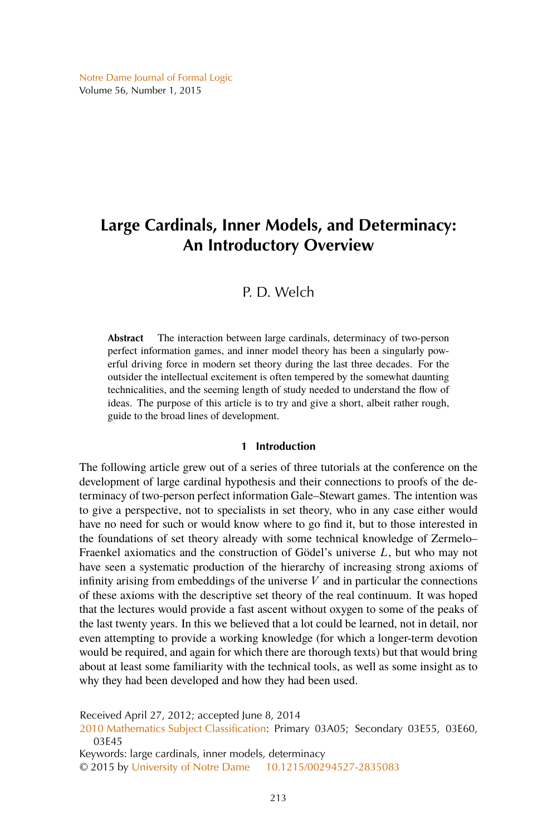[Notre Dame Journal of Formal Logic](http://www.nd.edu/~ndjfl/) Volume 56, Number 1, 2015

# **Large Cardinals, Inner Models, and Determinacy: An Introductory Overview**

# P. D. Welch

**Abstract** The interaction between large cardinals, determinacy of two-person perfect information games, and inner model theory has been a singularly powerful driving force in modern set theory during the last three decades. For the outsider the intellectual excitement is often tempered by the somewhat daunting technicalities, and the seeming length of study needed to understand the flow of ideas. The purpose of this article is to try and give a short, albeit rather rough, guide to the broad lines of development.

#### **1 Introduction**

The following article grew out of a series of three tutorials at the conference on the development of large cardinal hypothesis and their connections to proofs of the determinacy of two-person perfect information Gale–Stewart games. The intention was to give a perspective, not to specialists in set theory, who in any case either would have no need for such or would know where to go find it, but to those interested in the foundations of set theory already with some technical knowledge of Zermelo– Fraenkel axiomatics and the construction of Gödel's universe L, but who may not have seen a systematic production of the hierarchy of increasing strong axioms of infinity arising from embeddings of the universe  $V$  and in particular the connections of these axioms with the descriptive set theory of the real continuum. It was hoped that the lectures would provide a fast ascent without oxygen to some of the peaks of the last twenty years. In this we believed that a lot could be learned, not in detail, nor even attempting to provide a working knowledge (for which a longer-term devotion would be required, and again for which there are thorough texts) but that would bring about at least some familiarity with the technical tools, as well as some insight as to why they had been developed and how they had been used.

Received April 27, 2012; accepted June 8, 2014

[2010 Mathematics Subject Classification:](http://www.ams.org/mathscinet/msc/msc2010.html) Primary 03A05; Secondary 03E55, 03E60, 03E45

Keywords: large cardinals, inner models, determinacy

© 2015 by [University of Notre Dame](http://www.nd.edu) [10.1215/00294527-2835083](http://dx.doi.org/10.1215/00294527-2835083)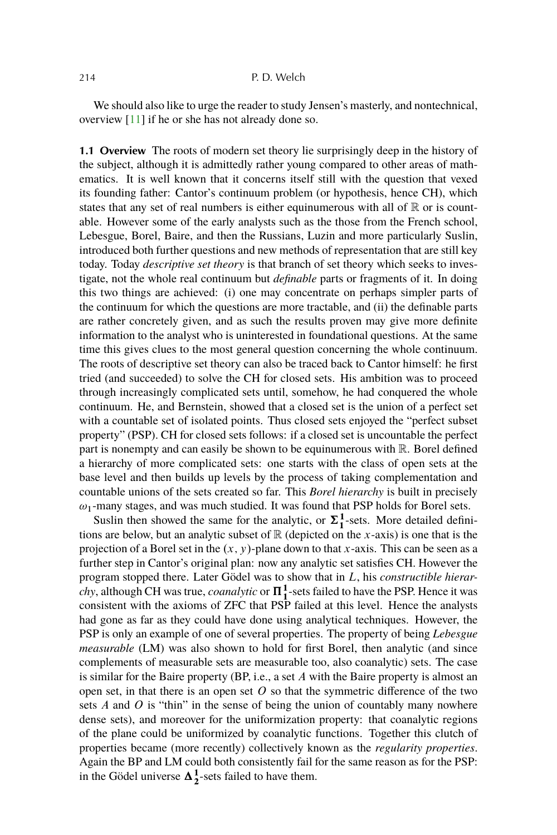<span id="page-1-0"></span>We should also like to urge the reader to study Jensen's masterly, and nontechnical, overview [\[11\]](#page-27-0) if he or she has not already done so.

**1.1 Overview** The roots of modern set theory lie surprisingly deep in the history of the subject, although it is admittedly rather young compared to other areas of mathematics. It is well known that it concerns itself still with the question that vexed its founding father: Cantor's continuum problem (or hypothesis, hence CH), which states that any set of real numbers is either equinumerous with all of  $\mathbb R$  or is countable. However some of the early analysts such as the those from the French school, Lebesgue, Borel, Baire, and then the Russians, Luzin and more particularly Suslin, introduced both further questions and new methods of representation that are still key today. Today *descriptive set theory* is that branch of set theory which seeks to investigate, not the whole real continuum but *definable* parts or fragments of it. In doing this two things are achieved: (i) one may concentrate on perhaps simpler parts of the continuum for which the questions are more tractable, and (ii) the definable parts are rather concretely given, and as such the results proven may give more definite information to the analyst who is uninterested in foundational questions. At the same time this gives clues to the most general question concerning the whole continuum. The roots of descriptive set theory can also be traced back to Cantor himself: he first tried (and succeeded) to solve the CH for closed sets. His ambition was to proceed through increasingly complicated sets until, somehow, he had conquered the whole continuum. He, and Bernstein, showed that a closed set is the union of a perfect set with a countable set of isolated points. Thus closed sets enjoyed the "perfect subset property" (PSP). CH for closed sets follows: if a closed set is uncountable the perfect part is nonempty and can easily be shown to be equinumerous with R. Borel defined a hierarchy of more complicated sets: one starts with the class of open sets at the base level and then builds up levels by the process of taking complementation and countable unions of the sets created so far. This *Borel hierarchy* is built in precisely  $\omega_1$ -many stages, and was much studied. It was found that PSP holds for Borel sets.

Suslin then showed the same for the analytic, or  $\Sigma_1^1$ -sets. More detailed definitions are below, but an analytic subset of  $\mathbb R$  (depicted on the x-axis) is one that is the projection of a Borel set in the  $(x, y)$ -plane down to that x-axis. This can be seen as a further step in Cantor's original plan: now any analytic set satisfies CH. However the program stopped there. Later Gödel was to show that in L, his *constructible hierarchy*, although CH was true, *coanalytic* or  $\Pi^1_1$ -sets failed to have the PSP. Hence it was consistent with the axioms of ZFC that PSP failed at this level. Hence the analysts had gone as far as they could have done using analytical techniques. However, the PSP is only an example of one of several properties. The property of being *Lebesgue measurable* (LM) was also shown to hold for first Borel, then analytic (and since complements of measurable sets are measurable too, also coanalytic) sets. The case is similar for the Baire property (BP, i.e., a set  $A$  with the Baire property is almost an open set, in that there is an open set  $O$  so that the symmetric difference of the two sets  $A$  and  $O$  is "thin" in the sense of being the union of countably many nowhere dense sets), and moreover for the uniformization property: that coanalytic regions of the plane could be uniformized by coanalytic functions. Together this clutch of properties became (more recently) collectively known as the *regularity properties*. Again the BP and LM could both consistently fail for the same reason as for the PSP: in the Gödel universe  $\Delta_2^1$ -sets failed to have them.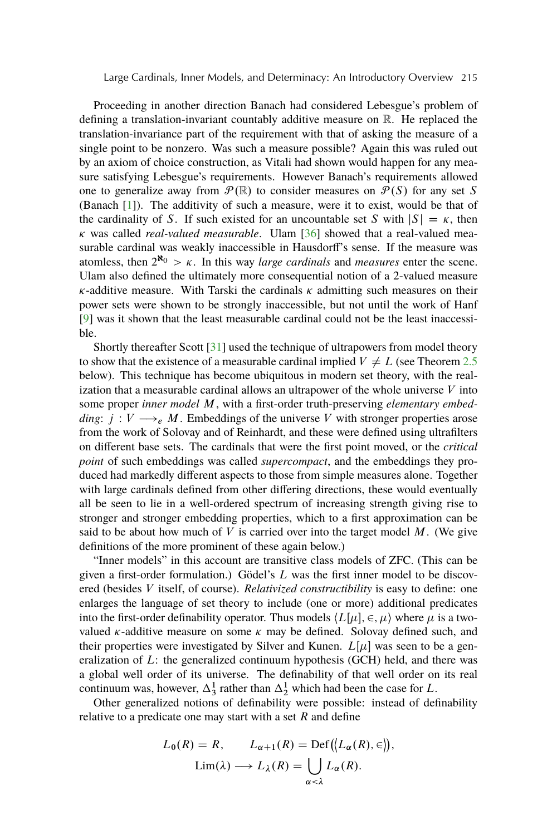<span id="page-2-0"></span>Proceeding in another direction Banach had considered Lebesgue's problem of defining a translation-invariant countably additive measure on R. He replaced the translation-invariance part of the requirement with that of asking the measure of a single point to be nonzero. Was such a measure possible? Again this was ruled out by an axiom of choice construction, as Vitali had shown would happen for any measure satisfying Lebesgue's requirements. However Banach's requirements allowed one to generalize away from  $\mathcal{P}(\mathbb{R})$  to consider measures on  $\mathcal{P}(S)$  for any set S (Banach [\[1\]](#page-26-0)). The additivity of such a measure, were it to exist, would be that of the cardinality of S. If such existed for an uncountable set S with  $|S| = \kappa$ , then was called *real-valued measurable*. Ulam [\[36\]](#page-28-0) showed that a real-valued measurable cardinal was weakly inaccessible in Hausdorff's sense. If the measure was atomless, then  $2^{\aleph_0} > \kappa$ . In this way *large cardinals* and *measures* enter the scene. Ulam also defined the ultimately more consequential notion of a 2-valued measure  $\kappa$ -additive measure. With Tarski the cardinals  $\kappa$  admitting such measures on their power sets were shown to be strongly inaccessible, but not until the work of Hanf [\[9\]](#page-27-0) was it shown that the least measurable cardinal could not be the least inaccessible.

Shortly thereafter Scott  $[31]$  used the technique of ultrapowers from model theory to show that the existence of a measurable cardinal implied  $V \neq L$  (see Theorem [2.5](#page-10-0)) below). This technique has become ubiquitous in modern set theory, with the realization that a measurable cardinal allows an ultrapower of the whole universe  $V$  into some proper *inner model* M, with a first-order truth-preserving *elementary embedding*:  $j: V \longrightarrow_e M$ . Embeddings of the universe V with stronger properties arose from the work of Solovay and of Reinhardt, and these were defined using ultrafilters on different base sets. The cardinals that were the first point moved, or the *critical point* of such embeddings was called *supercompact*, and the embeddings they produced had markedly different aspects to those from simple measures alone. Together with large cardinals defined from other differing directions, these would eventually all be seen to lie in a well-ordered spectrum of increasing strength giving rise to stronger and stronger embedding properties, which to a first approximation can be said to be about how much of  $V$  is carried over into the target model  $M$ . (We give definitions of the more prominent of these again below.)

"Inner models" in this account are transitive class models of ZFC. (This can be given a first-order formulation.) Gödel's  $L$  was the first inner model to be discovered (besides V itself, of course). *Relativized constructibility* is easy to define: one enlarges the language of set theory to include (one or more) additional predicates into the first-order definability operator. Thus models  $\langle L[\mu], \in, \mu \rangle$  where  $\mu$  is a twovalued  $\kappa$ -additive measure on some  $\kappa$  may be defined. Solovay defined such, and their properties were investigated by Silver and Kunen.  $L[\mu]$  was seen to be a generalization of  $L$ : the generalized continuum hypothesis (GCH) held, and there was a global well order of its universe. The definability of that well order on its real continuum was, however,  $\Delta_3^1$  rather than  $\Delta_2^1$  which had been the case for L.

Other generalized notions of definability were possible: instead of definability relative to a predicate one may start with a set  $R$  and define

$$
L_0(R) = R, \qquad L_{\alpha+1}(R) = \text{Def}\left(\langle L_{\alpha}(R), \in \rangle\right),
$$

$$
\text{Lim}(\lambda) \longrightarrow L_{\lambda}(R) = \bigcup_{\alpha < \lambda} L_{\alpha}(R).
$$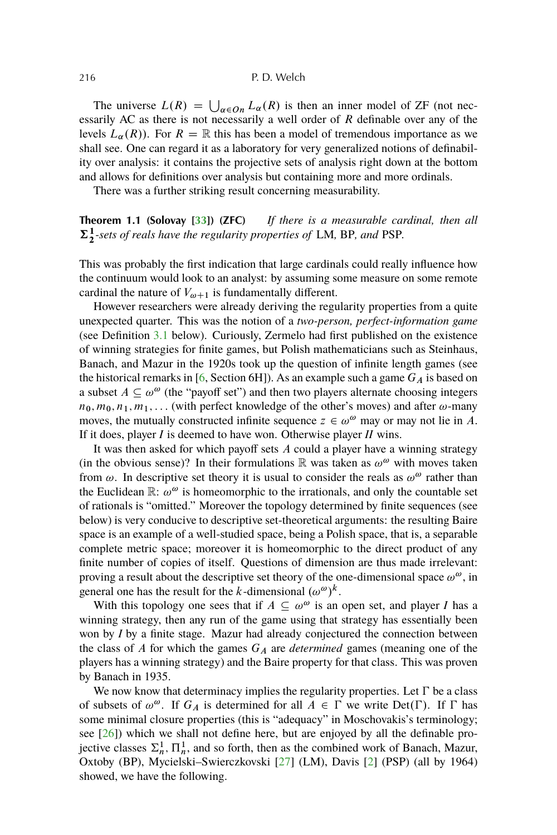#### <span id="page-3-0"></span>216 P. D. Welch

The universe  $L(R) = \bigcup_{\alpha \in On} L_{\alpha}(R)$  is then an inner model of ZF (not necessarily AC as there is not necessarily a well order of  $R$  definable over any of the levels  $L_{\alpha}(R)$ . For  $R = \mathbb{R}$  this has been a model of tremendous importance as we shall see. One can regard it as a laboratory for very generalized notions of definability over analysis: it contains the projective sets of analysis right down at the bottom and allows for definitions over analysis but containing more and more ordinals.

There was a further striking result concerning measurability.

# **Theorem 1.1 (Solovay [\[33\]](#page-28-0)) (ZFC)** *If there is a measurable cardinal, then all*  $\Sigma^1_2$ -sets of reals have the regularity properties of LM, BP, and PSP.

This was probably the first indication that large cardinals could really influence how the continuum would look to an analyst: by assuming some measure on some remote cardinal the nature of  $V_{\omega+1}$  is fundamentally different.

However researchers were already deriving the regularity properties from a quite unexpected quarter. This was the notion of a *two-person, perfect-information game* (see Definition [3.1](#page-15-0) below). Curiously, Zermelo had first published on the existence of winning strategies for finite games, but Polish mathematicians such as Steinhaus, Banach, and Mazur in the 1920s took up the question of infinite length games (see the historical remarks in [\[6,](#page-27-0) Section 6H]). As an example such a game  $G_A$  is based on a subset  $A \subseteq \omega^{\omega}$  (the "payoff set") and then two players alternate choosing integers  $n_0, m_0, n_1, m_1, \ldots$  (with perfect knowledge of the other's moves) and after  $\omega$ -many moves, the mutually constructed infinite sequence  $z \in \omega^\omega$  may or may not lie in A. If it does, player *I* is deemed to have won. Otherwise player *II* wins.

It was then asked for which payoff sets  $A$  could a player have a winning strategy (in the obvious sense)? In their formulations  $\mathbb R$  was taken as  $\omega^{\omega}$  with moves taken from  $\omega$ . In descriptive set theory it is usual to consider the reals as  $\omega^{\omega}$  rather than the Euclidean  $\mathbb{R}$ :  $\omega^{\omega}$  is homeomorphic to the irrationals, and only the countable set of rationals is "omitted." Moreover the topology determined by finite sequences (see below) is very conducive to descriptive set-theoretical arguments: the resulting Baire space is an example of a well-studied space, being a Polish space, that is, a separable complete metric space; moreover it is homeomorphic to the direct product of any finite number of copies of itself. Questions of dimension are thus made irrelevant: proving a result about the descriptive set theory of the one-dimensional space  $\omega^{\omega}$ , in general one has the result for the k-dimensional  $(\omega^{\omega})^k$ .

With this topology one sees that if  $A \subseteq \omega^\omega$  is an open set, and player *I* has a winning strategy, then any run of the game using that strategy has essentially been won by *I* by a finite stage. Mazur had already conjectured the connection between the class of  $A$  for which the games  $G_A$  are *determined* games (meaning one of the players has a winning strategy) and the Baire property for that class. This was proven by Banach in 1935.

We now know that determinacy implies the regularity properties. Let  $\Gamma$  be a class of subsets of  $\omega^{\omega}$ . If  $G_A$  is determined for all  $A \in \Gamma$  we write Det( $\Gamma$ ). If  $\Gamma$  has some minimal closure properties (this is "adequacy" in Moschovakis's terminology; see [\[26\]](#page-28-0)) which we shall not define here, but are enjoyed by all the definable projective classes  $\Sigma_n^1$ ,  $\Pi_n^1$ , and so forth, then as the combined work of Banach, Mazur, Oxtoby (BP), Mycielski–Swierczkovski [\[27\]](#page-28-0) (LM), Davis [\[2\]](#page-26-0) (PSP) (all by 1964) showed, we have the following.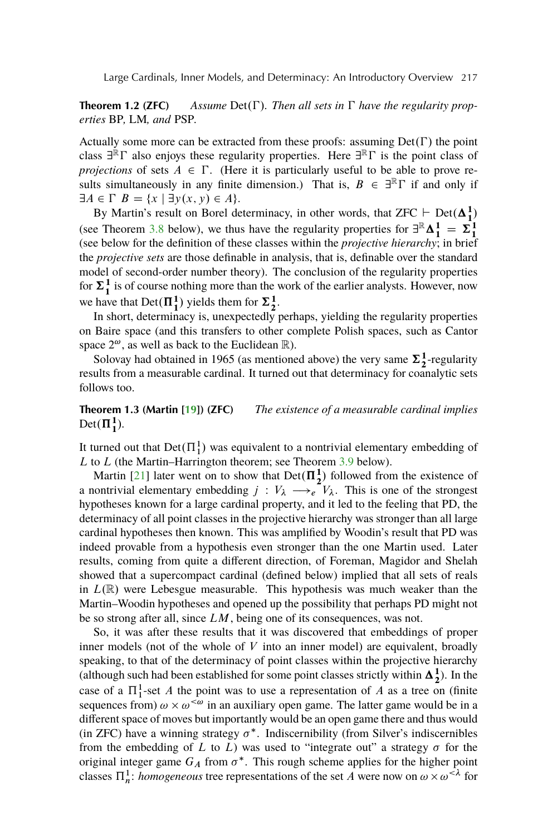<span id="page-4-0"></span>**Theorem 1.2 (ZFC)** *Assume* Det( $\Gamma$ ). *Then all sets in*  $\Gamma$  *have the regularity properties* BP*,* LM*, and* PSP*.*

Actually some more can be extracted from these proofs: assuming  $Det(\Gamma)$  the point class  $\exists^{\mathbb{R}} \Gamma$  also enjoys these regularity properties. Here  $\exists^{\mathbb{R}} \Gamma$  is the point class of *projections* of sets  $A \in \Gamma$ . (Here it is particularly useful to be able to prove results simultaneously in any finite dimension.) That is,  $B \in \exists^{\mathbb{R}} \Gamma$  if and only if  $\exists A \in \Gamma \; B = \{x \mid \exists y(x, y) \in A\}.$ 

By Martin's result on Borel determinacy, in other words, that ZFC  $\vdash$  Det $(\Delta_1^1)$ (see Theorem [3.8](#page-18-0) below), we thus have the regularity properties for  $\exists \mathbb{R} \Delta_1^1 = \Sigma_1^1$ (see below for the definition of these classes within the *projective hierarchy*; in brief the *projective sets* are those definable in analysis, that is, definable over the standard model of second-order number theory). The conclusion of the regularity properties for  $\Sigma_1^1$  is of course nothing more than the work of the earlier analysts. However, now we have that  $Det(\Pi_1^1)$  yields them for  $\Sigma_2^1$ .

In short, determinacy is, unexpectedly perhaps, yielding the regularity properties on Baire space (and this transfers to other complete Polish spaces, such as Cantor space  $2^{\omega}$ , as well as back to the Euclidean R).

Solovay had obtained in 1965 (as mentioned above) the very same  $\Sigma_2^1$ -regularity results from a measurable cardinal. It turned out that determinacy for coanalytic sets follows too.

**Theorem 1.3 (Martin [\[19\]](#page-27-0)) (ZFC)** *The existence of a measurable cardinal implies*  $Det(\Pi_1^1)$ .

It turned out that  $Det(\Pi_1^1)$  was equivalent to a nontrivial elementary embedding of L to L (the Martin–Harrington theorem; see Theorem [3.9](#page-18-0) below).

Martin [\[21\]](#page-27-0) later went on to show that  $Det(\Pi_2^1)$  followed from the existence of a nontrivial elementary embedding  $j : V_{\lambda} \longrightarrow e^V_{\lambda}$ . This is one of the strongest hypotheses known for a large cardinal property, and it led to the feeling that PD, the determinacy of all point classes in the projective hierarchy was stronger than all large cardinal hypotheses then known. This was amplified by Woodin's result that PD was indeed provable from a hypothesis even stronger than the one Martin used. Later results, coming from quite a different direction, of Foreman, Magidor and Shelah showed that a supercompact cardinal (defined below) implied that all sets of reals in  $L(\mathbb{R})$  were Lebesgue measurable. This hypothesis was much weaker than the Martin–Woodin hypotheses and opened up the possibility that perhaps PD might not be so strong after all, since LM, being one of its consequences, was not.

So, it was after these results that it was discovered that embeddings of proper inner models (not of the whole of  $V$  into an inner model) are equivalent, broadly speaking, to that of the determinacy of point classes within the projective hierarchy (although such had been established for some point classes strictly within  $\Delta_2^1$ ). In the case of a  $\Pi_1^1$ -set A the point was to use a representation of A as a tree on (finite sequences from)  $\omega \times \omega^{\langle \omega \rangle}$  in an auxiliary open game. The latter game would be in a different space of moves but importantly would be an open game there and thus would (in ZFC) have a winning strategy  $\sigma^*$ . Indiscernibility (from Silver's indiscernibles from the embedding of L to L) was used to "integrate out" a strategy  $\sigma$  for the original integer game  $G_A$  from  $\sigma^*$ . This rough scheme applies for the higher point classes  $\Pi_n^1$ : *homogeneous* tree representations of the set A were now on  $\omega \times \omega^{\lt \lambda}$  for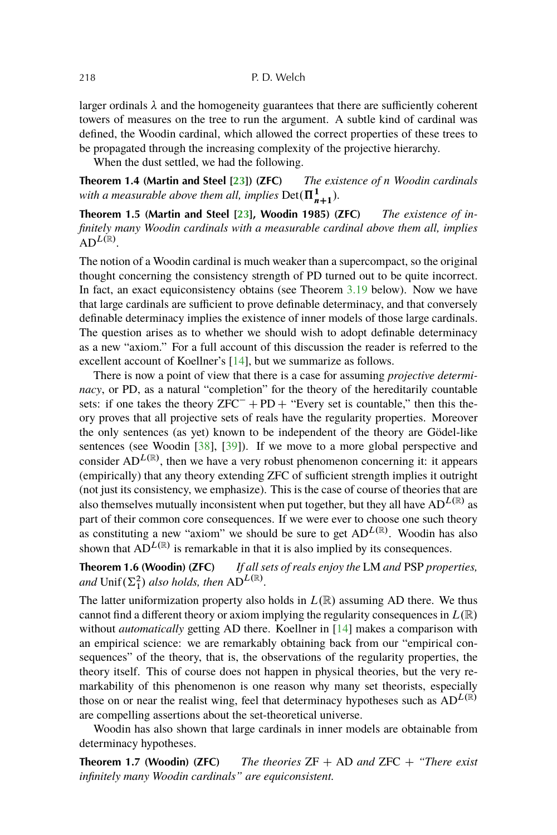larger ordinals  $\lambda$  and the homogeneity guarantees that there are sufficiently coherent towers of measures on the tree to run the argument. A subtle kind of cardinal was defined, the Woodin cardinal, which allowed the correct properties of these trees to be propagated through the increasing complexity of the projective hierarchy.

When the dust settled, we had the following.

**Theorem 1.4 (Martin and Steel [\[23\]](#page-27-0)) (ZFC)** *The existence of* n *Woodin cardinals* with a measurable above them all, implies  $Det(\Pi_{n+1}^1)$ .

**Theorem 1.5 (Martin and Steel [\[23\]](#page-27-0), Woodin 1985) (ZFC)** *The existence of infinitely many Woodin cardinals with a measurable cardinal above them all, implies*  $AD^{L(R)}$ .

The notion of a Woodin cardinal is much weaker than a supercompact, so the original thought concerning the consistency strength of PD turned out to be quite incorrect. In fact, an exact equiconsistency obtains (see Theorem [3.19](#page-22-0) below). Now we have that large cardinals are sufficient to prove definable determinacy, and that conversely definable determinacy implies the existence of inner models of those large cardinals. The question arises as to whether we should wish to adopt definable determinacy as a new "axiom." For a full account of this discussion the reader is referred to the excellent account of Koellner's [\[14\]](#page-27-0), but we summarize as follows.

There is now a point of view that there is a case for assuming *projective determinacy*, or PD, as a natural "completion" for the theory of the hereditarily countable sets: if one takes the theory  $ZFC^{-} + PD +$  "Every set is countable," then this theory proves that all projective sets of reals have the regularity properties. Moreover the only sentences (as yet) known to be independent of the theory are Gödel-like sentences (see Woodin [\[38\]](#page-28-0), [\[39\]](#page-28-0)). If we move to a more global perspective and consider  $AD^{L(\mathbb{R})}$ , then we have a very robust phenomenon concerning it: it appears (empirically) that any theory extending ZFC of sufficient strength implies it outright (not just its consistency, we emphasize). This is the case of course of theories that are also themselves mutually inconsistent when put together, but they all have  $AD^{L(\mathbb{R})}$  as part of their common core consequences. If we were ever to choose one such theory as constituting a new "axiom" we should be sure to get  $AD^{L(\mathbb{R})}$ . Woodin has also shown that  $AD^{L(\mathbb{R})}$  is remarkable in that it is also implied by its consequences.

**Theorem 1.6 (Woodin) (ZFC)** *If all sets of reals enjoy the* LM *and* PSP *properties,* and  $\text{Unif}(\Sigma_1^2)$  also holds, then  $AD^{L(\mathbb{R})}$ .

The latter uniformization property also holds in  $L(\mathbb{R})$  assuming AD there. We thus cannot find a different theory or axiom implying the regularity consequences in  $L(\mathbb{R})$ without *automatically* getting AD there. Koellner in [\[14\]](#page-27-0) makes a comparison with an empirical science: we are remarkably obtaining back from our "empirical consequences" of the theory, that is, the observations of the regularity properties, the theory itself. This of course does not happen in physical theories, but the very remarkability of this phenomenon is one reason why many set theorists, especially those on or near the realist wing, feel that determinacy hypotheses such as  $AD^{L(\mathbb{R})}$ are compelling assertions about the set-theoretical universe.

Woodin has also shown that large cardinals in inner models are obtainable from determinacy hypotheses.

**Theorem 1.7 (Woodin) (ZFC)** *The theories*  $ZF + AD$  *and*  $ZFC + "There exist$ *infinitely many Woodin cardinals" are equiconsistent.*

<span id="page-5-0"></span>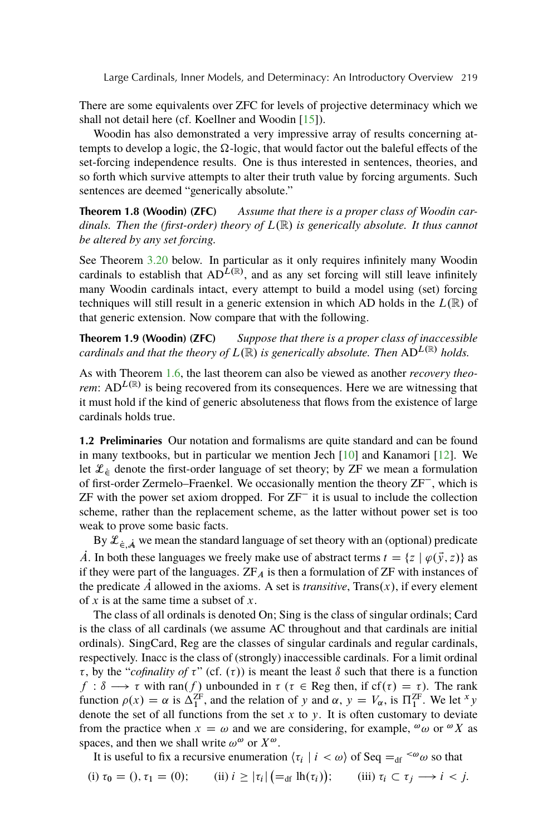<span id="page-6-0"></span>There are some equivalents over ZFC for levels of projective determinacy which we shall not detail here (cf. Koellner and Woodin [\[15\]](#page-27-0)).

Woodin has also demonstrated a very impressive array of results concerning attempts to develop a logic, the  $\Omega$ -logic, that would factor out the baleful effects of the set-forcing independence results. One is thus interested in sentences, theories, and so forth which survive attempts to alter their truth value by forcing arguments. Such sentences are deemed "generically absolute."

**Theorem 1.8 (Woodin) (ZFC)** *Assume that there is a proper class of Woodin cardinals. Then the (first-order) theory of* L.R/ *is generically absolute. It thus cannot be altered by any set forcing.*

See Theorem [3.20](#page-22-0) below. In particular as it only requires infinitely many Woodin cardinals to establish that  $AD^{L(\mathbb{R})}$ , and as any set forcing will still leave infinitely many Woodin cardinals intact, every attempt to build a model using (set) forcing techniques will still result in a generic extension in which AD holds in the  $L(\mathbb{R})$  of that generic extension. Now compare that with the following.

**Theorem 1.9 (Woodin) (ZFC)** *Suppose that there is a proper class of inaccessible cardinals and that the theory of*  $L(\mathbb{R})$  *is generically absolute. Then*  $AD^{L(\mathbb{R})}$  *holds.* 

As with Theorem [1.6,](#page-5-0) the last theorem can also be viewed as another *recovery theorem*:  $AD^{L(\mathbb{R})}$  is being recovered from its consequences. Here we are witnessing that it must hold if the kind of generic absoluteness that flows from the existence of large cardinals holds true.

**1.2 Preliminaries** Our notation and formalisms are quite standard and can be found in many textbooks, but in particular we mention Jech [\[10\]](#page-27-0) and Kanamori [\[12\]](#page-27-0). We let  $\mathcal{L}_{\xi}$  denote the first-order language of set theory; by ZF we mean a formulation of first-order Zermelo–Fraenkel. We occasionally mention the theory  $ZF^-$ , which is  $ZF$  with the power set axiom dropped. For  $ZF^-$  it is usual to include the collection scheme, rather than the replacement scheme, as the latter without power set is too weak to prove some basic facts.

By  $\mathcal{L}_{\dot{\epsilon}}$  is we mean the standard language of set theory with an (optional) predicate A. In both these languages we freely make use of abstract terms  $t = \{z \mid \varphi(\vec{y}, z)\}\$ as if they were part of the languages.  $ZF_A$  is then a formulation of  $ZF$  with instances of the predicate  $\vec{A}$  allowed in the axioms. A set is *transitive*, Trans $(x)$ , if every element of x is at the same time a subset of x.

The class of all ordinals is denoted On; Sing is the class of singular ordinals; Card is the class of all cardinals (we assume AC throughout and that cardinals are initial ordinals). SingCard, Reg are the classes of singular cardinals and regular cardinals, respectively. Inacc is the class of (strongly) inaccessible cardinals. For a limit ordinal  $\tau$ , by the "*cofinality of*  $\tau$ " (cf.  $(\tau)$ ) is meant the least  $\delta$  such that there is a function  $f : \delta \longrightarrow \tau$  with ran $(f)$  unbounded in  $\tau$  ( $\tau \in \text{Reg}$  then, if  $cf(\tau) = \tau$ ). The rank function  $\rho(x) = \alpha$  is  $\Delta_1^{ZF}$ , and the relation of y and  $\alpha$ ,  $y = V_\alpha$ , is  $\Pi_1^{ZF}$ . We let <sup>x</sup> y denote the set of all functions from the set  $x$  to  $y$ . It is often customary to deviate from the practice when  $x = \omega$  and we are considering, for example,  $\omega$  or  $\omega X$  as spaces, and then we shall write  $\omega^{\omega}$  or  $X^{\omega}$ .

It is useful to fix a recursive enumeration  $\langle \tau_i | i < \omega \rangle$  of Seq  $=_{df} \langle \omega \rangle$  so that (i)  $\tau_0 = ()$ ,  $\tau_1 = (0)$ ; (ii)  $i \ge |\tau_i| \left(=_{df} \text{lh}(\tau_i)\right)$ ; (iii)  $\tau_i \subset \tau_j \longrightarrow i < j$ .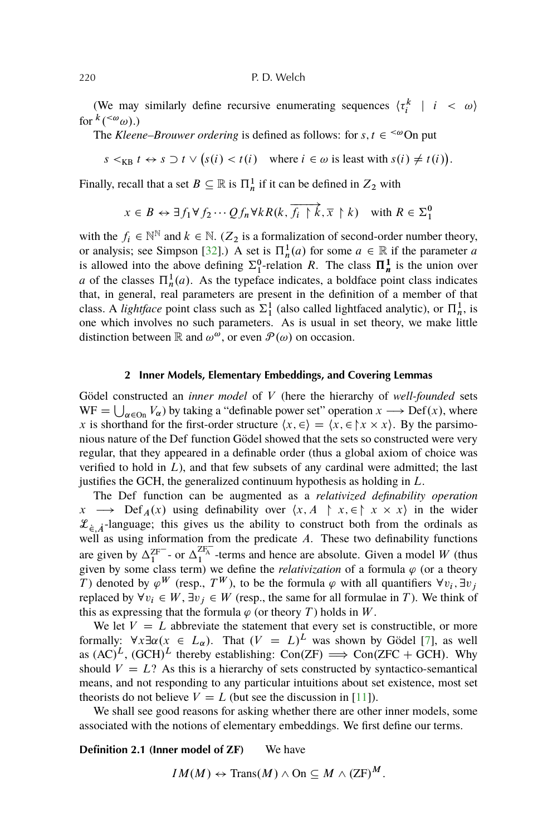#### <span id="page-7-0"></span>220 P. D. Welch

(We may similarly define recursive enumerating sequences  $\langle \tau_i^k | i \rangle \langle \omega \rangle$ for  $k(\leq \omega_{\omega})$ .)

The *Kleene–Brouwer ordering* is defined as follows: for  $s, t \in \infty$  On put

$$
s <_{\mathsf{KB}} t \leftrightarrow s \supset t \vee (s(i) < t(i) \quad \text{where } i \in \omega \text{ is least with } s(i) \neq t(i)).
$$

Finally, recall that a set  $B \subseteq \mathbb{R}$  is  $\prod_n^1$  if it can be defined in  $Z_2$  with

$$
x \in B \leftrightarrow \exists f_1 \forall f_2 \cdots Q f_n \forall k R(k, \overrightarrow{f_i \upharpoonright k}, \overrightarrow{x} \upharpoonright k) \quad \text{with } R \in \Sigma_1^0
$$

with the  $f_i \in \mathbb{N}^{\mathbb{N}}$  and  $k \in \mathbb{N}$ . (Z<sub>2</sub> is a formalization of second-order number theory, or analysis; see Simpson [\[32\]](#page-28-0).) A set is  $\Pi_n^1(a)$  for some  $a \in \mathbb{R}$  if the parameter a is allowed into the above defining  $\Sigma_1^0$ -relation R. The class  $\Pi_n^1$  is the union over a of the classes  $\prod_{n=1}^{1}(a)$ . As the typeface indicates, a boldface point class indicates that, in general, real parameters are present in the definition of a member of that class. A *lightface* point class such as  $\Sigma_1^1$  (also called lightfaced analytic), or  $\Pi_n^1$ , is one which involves no such parameters. As is usual in set theory, we make little distinction between  $\mathbb R$  and  $\omega^{\omega}$ , or even  $\mathcal{P}(\omega)$  on occasion.

#### **2 Inner Models, Elementary Embeddings, and Covering Lemmas**

Gödel constructed an *inner model* of V (here the hierarchy of *well-founded* sets  $WF = \bigcup_{\alpha \in On} V_{\alpha}$  by taking a "definable power set" operation  $x \longrightarrow Def(x)$ , where x is shorthand for the first-order structure  $\langle x, \in \rangle = \langle x, \in \upharpoonright x \times x \rangle$ . By the parsimonious nature of the Def function Gödel showed that the sets so constructed were very regular, that they appeared in a definable order (thus a global axiom of choice was verified to hold in  $L$ ), and that few subsets of any cardinal were admitted; the last justifies the GCH, the generalized continuum hypothesis as holding in  $L$ .

The Def function can be augmented as a *relativized definability operation*  $x \longrightarrow \text{Def}_A(x)$  using definability over  $\langle x, A \rangle \mid x, \in \rangle$   $\langle x \times x \rangle$  in the wider  $\mathcal{L}_{\dot{\epsilon},\dot{A}}$ -language; this gives us the ability to construct both from the ordinals as well as using information from the predicate A. These two definability functions are given by  $\Delta_{I}^{ZF}$  - or  $\Delta_{I}^{ZF}$  -terms and hence are absolute. Given a model W (thus given by some class term) we define the *relativization* of a formula  $\varphi$  (or a theory T) denoted by  $\varphi^W$  (resp.,  $T^W$ ), to be the formula  $\varphi$  with all quantifiers  $\forall v_i, \exists v_j$ replaced by  $\forall v_i \in W$ ,  $\exists v_i \in W$  (resp., the same for all formulae in T). We think of this as expressing that the formula  $\varphi$  (or theory T) holds in W.

We let  $V = L$  abbreviate the statement that every set is constructible, or more formally:  $\forall x \exists \alpha (x \in L_{\alpha})$ . That  $(V = L)^{L}$  was shown by Gödel [\[7\]](#page-27-0), as well as  $(AC)^L$ ,  $(GCH)^L$  thereby establishing:  $Con(ZF) \implies Con(ZFC + GCH)$ . Why should  $V = L$ ? As this is a hierarchy of sets constructed by syntactico-semantical means, and not responding to any particular intuitions about set existence, most set theorists do not believe  $V = L$  (but see the discussion in [\[11\]](#page-27-0)).

We shall see good reasons for asking whether there are other inner models, some associated with the notions of elementary embeddings. We first define our terms.

**Definition 2.1 (Inner model of ZF)** We have

$$
IM(M) \leftrightarrow Trans(M) \wedge On \subseteq M \wedge (ZF)^M
$$
.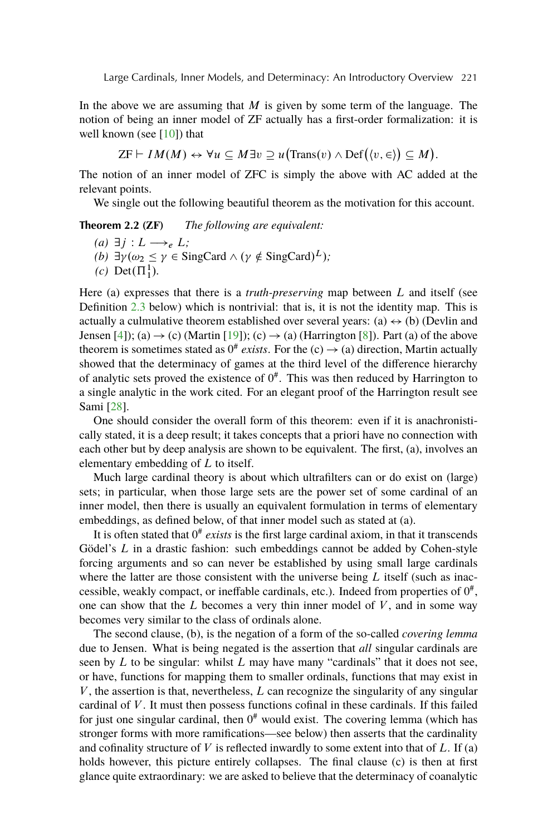<span id="page-8-0"></span>In the above we are assuming that  $M$  is given by some term of the language. The notion of being an inner model of ZF actually has a first-order formalization: it is well known (see  $[10]$ ) that

 $ZF \vdash IM(M) \leftrightarrow \forall u \subseteq M \exists v \supseteq u(\text{Trans}(v) \land \text{Def}(\langle v, \in \rangle) \subseteq M).$ 

The notion of an inner model of ZFC is simply the above with AC added at the relevant points.

We single out the following beautiful theorem as the motivation for this account.

**Theorem 2.2 (ZF)** *The following are equivalent:*

- $(a) \exists i : L \longrightarrow_e L;$
- *(b)*  $\exists \gamma (\omega_2 \leq \gamma \in \text{SingCard} \land (\gamma \notin \text{SingCard})^L)$ *;*
- (*c*) Det( $\Pi_1^1$ ).

Here (a) expresses that there is a *truth-preserving* map between L and itself (see Definition [2.3](#page-9-0) below) which is nontrivial: that is, it is not the identity map. This is actually a culmulative theorem established over several years: (a)  $\leftrightarrow$  (b) (Devlin and Jensen [\[4\]](#page-27-0)); (a)  $\rightarrow$  (c) (Martin [\[19\]](#page-27-0)); (c)  $\rightarrow$  (a) (Harrington [\[8\]](#page-27-0)). Part (a) of the above theorem is sometimes stated as  $0^{\#}$  *exists*. For the (c)  $\rightarrow$  (a) direction, Martin actually showed that the determinacy of games at the third level of the difference hierarchy of analytic sets proved the existence of  $0^{\#}$ . This was then reduced by Harrington to a single analytic in the work cited. For an elegant proof of the Harrington result see Sami [\[28\]](#page-28-0).

One should consider the overall form of this theorem: even if it is anachronistically stated, it is a deep result; it takes concepts that a priori have no connection with each other but by deep analysis are shown to be equivalent. The first, (a), involves an elementary embedding of L to itself.

Much large cardinal theory is about which ultrafilters can or do exist on (large) sets; in particular, when those large sets are the power set of some cardinal of an inner model, then there is usually an equivalent formulation in terms of elementary embeddings, as defined below, of that inner model such as stated at (a).

It is often stated that 0 # *exists* is the first large cardinal axiom, in that it transcends Gödel's L in a drastic fashion: such embeddings cannot be added by Cohen-style forcing arguments and so can never be established by using small large cardinals where the latter are those consistent with the universe being  $L$  itself (such as inaccessible, weakly compact, or ineffable cardinals, etc.). Indeed from properties of  $0^{\#}$ , one can show that the  $L$  becomes a very thin inner model of  $V$ , and in some way becomes very similar to the class of ordinals alone.

The second clause, (b), is the negation of a form of the so-called *covering lemma* due to Jensen. What is being negated is the assertion that *all* singular cardinals are seen by  $L$  to be singular: whilst  $L$  may have many "cardinals" that it does not see, or have, functions for mapping them to smaller ordinals, functions that may exist in  $V$ , the assertion is that, nevertheless,  $L$  can recognize the singularity of any singular cardinal of  $V$ . It must then possess functions cofinal in these cardinals. If this failed for just one singular cardinal, then  $0^{\#}$  would exist. The covering lemma (which has stronger forms with more ramifications—see below) then asserts that the cardinality and cofinality structure of V is reflected inwardly to some extent into that of L. If (a) holds however, this picture entirely collapses. The final clause (c) is then at first glance quite extraordinary: we are asked to believe that the determinacy of coanalytic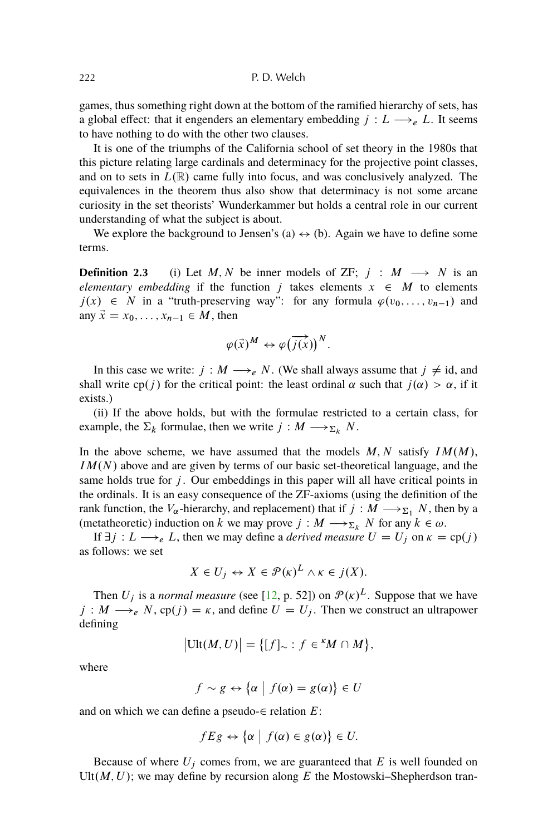<span id="page-9-0"></span>games, thus something right down at the bottom of the ramified hierarchy of sets, has a global effect: that it engenders an elementary embedding  $j: L \longrightarrow_e L$ . It seems to have nothing to do with the other two clauses.

It is one of the triumphs of the California school of set theory in the 1980s that this picture relating large cardinals and determinacy for the projective point classes, and on to sets in  $L(\mathbb{R})$  came fully into focus, and was conclusively analyzed. The equivalences in the theorem thus also show that determinacy is not some arcane curiosity in the set theorists' Wunderkammer but holds a central role in our current understanding of what the subject is about.

We explore the background to Jensen's (a)  $\leftrightarrow$  (b). Again we have to define some terms.

**Definition 2.3** (i) Let M, N be inner models of ZF;  $j : M \longrightarrow N$  is an *elementary embedding* if the function j takes elements  $x \in M$  to elements  $j(x) \in N$  in a "truth-preserving way": for any formula  $\varphi(v_0, \ldots, v_{n-1})$  and any  $\vec{x} = x_0, \dots, x_{n-1} \in M$ , then

$$
\varphi(\vec{x})^M \leftrightarrow \varphi(\overrightarrow{j(x)})^N.
$$

In this case we write:  $j : M \longrightarrow_e N$ . (We shall always assume that  $j \neq id$ , and shall write cp(j) for the critical point: the least ordinal  $\alpha$  such that  $j(\alpha) > \alpha$ , if it exists.)

(ii) If the above holds, but with the formulae restricted to a certain class, for example, the  $\Sigma_k$  formulae, then we write  $j : M \longrightarrow_{\Sigma_k} N$ .

In the above scheme, we have assumed that the models  $M, N$  satisfy  $IM(M)$ ,  $IM(N)$  above and are given by terms of our basic set-theoretical language, and the same holds true for  $j$ . Our embeddings in this paper will all have critical points in the ordinals. It is an easy consequence of the ZF-axioms (using the definition of the rank function, the  $V_{\alpha}$ -hierarchy, and replacement) that if  $j : M \longrightarrow_{\Sigma_1} N$ , then by a (metatheoretic) induction on k we may prove  $j : M \longrightarrow_{\Sigma_k} N$  for any  $k \in \omega$ .

If  $\exists j : L \longrightarrow_e L$ , then we may define a *derived measure*  $U = U_j$  on  $\kappa = \text{cp}(j)$ as follows: we set

$$
X \in U_j \leftrightarrow X \in \mathcal{P}(\kappa)^L \wedge \kappa \in j(X).
$$

Then  $U_j$  is a *normal measure* (see [\[12,](#page-27-0) p. 52]) on  $\mathcal{P}(\kappa)^L$ . Suppose that we have  $j : M \longrightarrow_e N$ ,  $cp(j) = \kappa$ , and define  $U = U_j$ . Then we construct an ultrapower defining

$$
\big|\text{Ult}(M,U)\big|=\big\{[f]_\sim:f\in{}^{\kappa}M\cap M\big\},\
$$

where

$$
f \sim g \leftrightarrow \{\alpha \mid f(\alpha) = g(\alpha)\} \in U
$$

and on which we can define a pseudo- $\in$  relation E:

$$
fEg \leftrightarrow \{\alpha \mid f(\alpha) \in g(\alpha)\} \in U.
$$

Because of where  $U_i$  comes from, we are guaranteed that E is well founded on Ult $(M, U)$ ; we may define by recursion along E the Mostowski–Shepherdson tran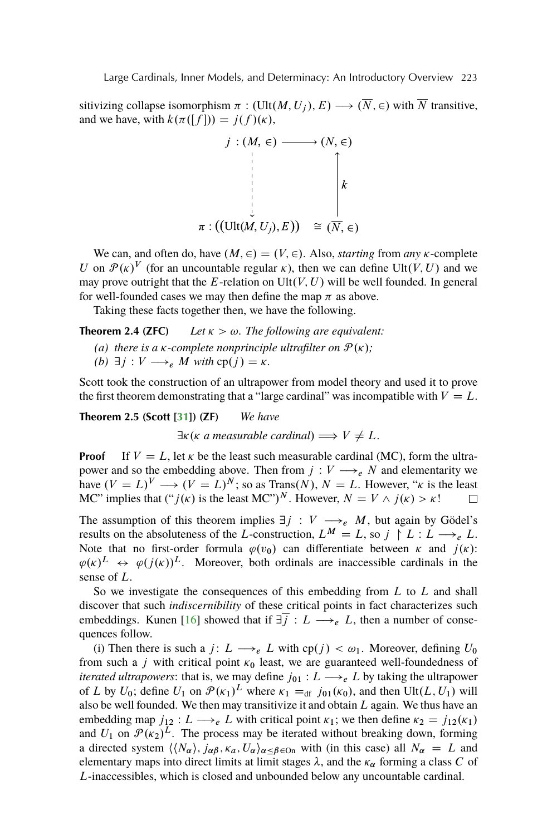<span id="page-10-0"></span>sitivizing collapse isomorphism  $\pi$ : (Ult $(M, U_j)$ , E)  $\longrightarrow (\overline{N}, \in)$  with  $\overline{N}$  transitive,



We can, and often do, have  $(M, \epsilon) = (V, \epsilon)$ . Also, *starting* from *any*  $\kappa$ -complete U on  $\mathcal{P}(\kappa)^V$  (for an uncountable regular  $\kappa$ ), then we can define Ult $(V, U)$  and we may prove outright that the E-relation on  $Ult(V, U)$  will be well founded. In general for well-founded cases we may then define the map  $\pi$  as above.

Taking these facts together then, we have the following.

**Theorem 2.4 (ZFC)** *Let*  $\kappa > \omega$ *. The following are equivalent:* 

- (a) *there is a*  $\kappa$ -complete nonprinciple ultrafilter on  $\mathcal{P}(\kappa)$ ;
- *(b)*  $\exists j : V \longrightarrow_e M$  *with*  $cp(j) = \kappa$ .

Scott took the construction of an ultrapower from model theory and used it to prove the first theorem demonstrating that a "large cardinal" was incompatible with  $V = L$ .

**Theorem 2.5 (Scott [\[31\]](#page-28-0)) (ZF)** *We have*

 $\exists \kappa(\kappa \text{ a measurable cardinal}) \Longrightarrow V \neq L.$ 

**Proof** If  $V = L$ , let  $\kappa$  be the least such measurable cardinal (MC), form the ultrapower and so the embedding above. Then from  $j: V \longrightarrow_e N$  and elementarity we have  $(V = L)^V \longrightarrow (V = L)^N$ ; so as Trans $(N)$ ,  $N = L$ . However, " $\kappa$  is the least MC" implies that (" $j(\kappa)$  is the least MC")<sup>N</sup>. However,  $N = V \wedge j(\kappa) > \kappa!$ 

The assumption of this theorem implies  $\exists j : V \longrightarrow_e M$ , but again by Gödel's results on the absoluteness of the L-construction,  $L^M = L$ , so  $j \restriction L : L \longrightarrow_e L$ . Note that no first-order formula  $\varphi(v_0)$  can differentiate between  $\kappa$  and  $j(\kappa)$ :  $\varphi(\kappa)^L \leftrightarrow \varphi(j(\kappa))^L$ . Moreover, both ordinals are inaccessible cardinals in the sense of L.

So we investigate the consequences of this embedding from  $L$  to  $L$  and shall discover that such *indiscernibility* of these critical points in fact characterizes such embeddings. Kunen [\[16\]](#page-27-0) showed that if  $\exists \overline{j} : L \longrightarrow_e L$ , then a number of consequences follow.

(i) Then there is such a j:  $L \rightarrow e^L$  with cp(j) <  $\omega_1$ . Moreover, defining  $U_0$ from such a j with critical point  $\kappa_0$  least, we are guaranteed well-foundedness of *iterated ultrapowers*: that is, we may define  $j_{01}: L \longrightarrow_e L$  by taking the ultrapower of L by  $U_0$ ; define  $U_1$  on  $\mathcal{P}(\kappa_1)^L$  where  $\kappa_1 =_{df} j_{01}(\kappa_0)$ , and then  $Ult(L, U_1)$  will also be well founded. We then may transitivize it and obtain  $L$  again. We thus have an embedding map  $j_{12}$ :  $L \rightarrow e$  L with critical point  $\kappa_1$ ; we then define  $\kappa_2 = j_{12}(\kappa_1)$ and  $U_1$  on  $\mathcal{P}(\kappa_2)^L$ . The process may be iterated without breaking down, forming a directed system  $\langle N_\alpha \rangle$ ,  $j_{\alpha\beta}$ ,  $\kappa_a$ ,  $U_\alpha \rangle_{\alpha \leq \beta \in \Omega_n}$  with (in this case) all  $N_\alpha = L$  and elementary maps into direct limits at limit stages  $\lambda$ , and the  $\kappa_{\alpha}$  forming a class C of L-inaccessibles, which is closed and unbounded below any uncountable cardinal.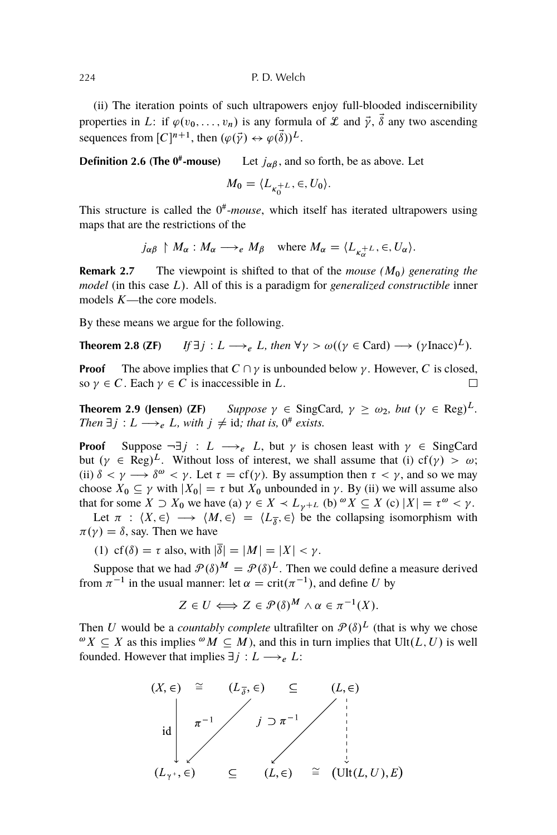<span id="page-11-0"></span>(ii) The iteration points of such ultrapowers enjoy full-blooded indiscernibility properties in L: if  $\varphi(v_0,\ldots,v_n)$  is any formula of  $\mathscr L$  and  $\vec \gamma$ ,  $\vec \delta$  any two ascending sequences from  $[C]^{n+1}$ , then  $(\varphi(\vec{y}) \leftrightarrow \varphi(\vec{\delta}))^L$ .

**Definition 2.6 (The** 0 **#** Let  $j_{\alpha\beta}$ , and so forth, be as above. Let

$$
M_0 = \langle L_{\kappa_0^+L}, \in, U_0 \rangle.
$$

This structure is called the  $0^{\#}$ -*mouse*, which itself has iterated ultrapowers using maps that are the restrictions of the

$$
j_{\alpha\beta} \upharpoonright M_{\alpha}: M_{\alpha} \longrightarrow_{e} M_{\beta}
$$
 where  $M_{\alpha} = \langle L_{\kappa_{\alpha}^{+L}}, \in, U_{\alpha} \rangle$ .

**Remark 2.7** The viewpoint is shifted to that of the *mouse*  $(M_0)$  generating the *model* (in this case L/. All of this is a paradigm for *generalized constructible* inner models K—the core models.

By these means we argue for the following.

**Theorem 2.8 (ZF)**  $\qquad$  *If*  $\exists j : L \longrightarrow_e L$ *, then*  $\forall \gamma > \omega$  ( $(\gamma \in \text{Card}) \longrightarrow (\gamma \text{Inacc})^L$ ).

**Proof** The above implies that  $C \cap \gamma$  is unbounded below  $\gamma$ . However, C is closed, so  $\gamma \in C$ . Each  $\gamma \in C$  is inaccessible in L.  $\Box$ 

**Theorem 2.9 (Jensen) (ZF)** Suppose  $\gamma \in$  SingCard,  $\gamma \ge \omega_2$ , but  $(\gamma \in \text{Reg})^L$ . *Then*  $\exists j : L \longrightarrow_e L$ , with  $j \neq id$ ; that is,  $0^{\#}$  exists.

**Proof** Suppose  $\neg \exists j : L \rightarrow_e L$ , but  $\gamma$  is chosen least with  $\gamma \in$  SingCard but  $(\gamma \in \text{Reg})^L$ . Without loss of interest, we shall assume that (i)  $cf(\gamma) > \omega$ ; (ii)  $\delta < \gamma \longrightarrow \delta^{\omega} < \gamma$ . Let  $\tau = cf(\gamma)$ . By assumption then  $\tau < \gamma$ , and so we may choose  $X_0 \subseteq \gamma$  with  $|X_0| = \tau$  but  $X_0$  unbounded in  $\gamma$ . By (ii) we will assume also that for some  $X \supset X_0$  we have (a)  $\gamma \in X \prec L_{\gamma+L}$  (b)  ${}^{\omega}X \subseteq X$  (c)  $|X| = \tau^{\omega} < \gamma$ .

Let  $\pi : \langle X, \in \rangle \longrightarrow \langle M, \in \rangle = \langle L_{\overline{\delta}}, \in \rangle$  be the collapsing isomorphism with  $\pi(\gamma) = \delta$ , say. Then we have

(1)  $cf(\delta) = \tau$  also, with  $|\overline{\delta}| = |M| = |X| < \gamma$ .

Suppose that we had  $\mathcal{P}(\delta)^M = \mathcal{P}(\delta)^L$ . Then we could define a measure derived from  $\pi^{-1}$  in the usual manner: let  $\alpha = \text{crit}(\pi^{-1})$ , and define U by

$$
Z \in U \Longleftrightarrow Z \in \mathcal{P}(\delta)^M \wedge \alpha \in \pi^{-1}(X).
$$

Then U would be a *countably complete* ultrafilter on  $\mathcal{P}(\delta)^L$  (that is why we chose  ${}^{\omega}X \subseteq X$  as this implies  ${}^{\omega}M \subseteq M$ ), and this in turn implies that Ult $(L, U)$  is well founded. However that implies  $\exists j : L \longrightarrow_e L$ :

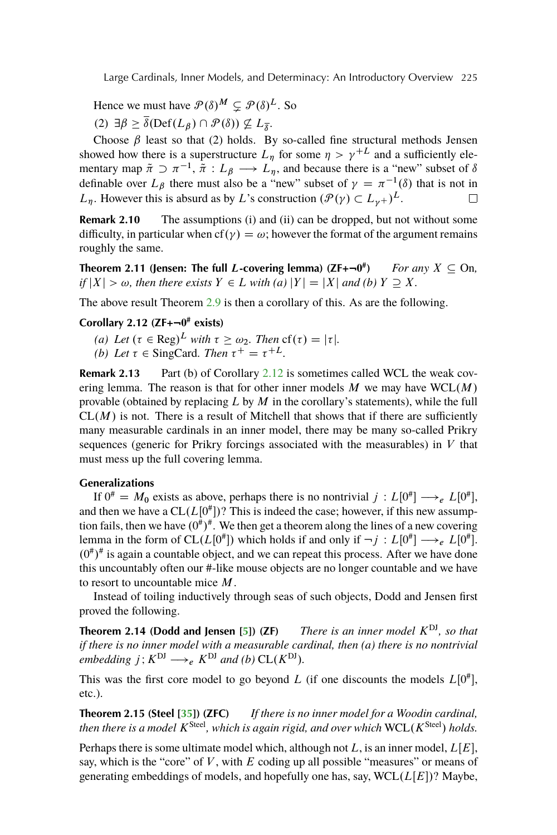<span id="page-12-0"></span>Hence we must have  $\mathcal{P}(\delta)^M \subsetneq \mathcal{P}(\delta)^L$ . So

(2)  $\exists \beta \geq \overline{\delta}(\mathrm{Def}(L_{\beta}) \cap \mathcal{P}(\delta)) \nsubseteq L_{\overline{\delta}}.$ 

Choose  $\beta$  least so that (2) holds. By so-called fine structural methods Jensen showed how there is a superstructure  $L_n$  for some  $\eta > \gamma^{+L}$  and a sufficiently elementary map  $\tilde{\pi} \supset \pi^{-1}$ ,  $\tilde{\pi}: L_{\beta} \longrightarrow L_{\eta}$ , and because there is a "new" subset of  $\delta$ definable over  $L_{\beta}$  there must also be a "new" subset of  $\gamma = \pi^{-1}(\delta)$  that is not in  $L_{\eta}$ . However this is absurd as by L's construction  $(\mathcal{P}(\gamma) \subset L_{\gamma+})^L$ .

**Remark 2.10** The assumptions (i) and (ii) can be dropped, but not without some difficulty, in particular when cf( $\gamma$ ) =  $\omega$ ; however the format of the argument remains roughly the same.

Theorem 2.11 (Jensen: The full L-covering lemma) ( $ZF + \neg 0^{\#}$ *For any*  $X \subseteq$  On,  $if |X| > \omega$ , then there exists  $Y \in L$  with (a)  $|Y| = |X|$  and (b)  $Y \supset X$ .

The above result Theorem [2.9](#page-11-0) is then a corollary of this. As are the following.

# **Corollary 2.12 (ZF+**:0 **# exists)**

- *(a)* Let  $(\tau \in \text{Reg})^L$  with  $\tau \geq \omega_2$ . Then  $cf(\tau) = |\tau|$ . *(b)* Let  $\tau \in$  SingCard. Then  $\tau^+ = \tau^{+L}$ .
- **Remark 2.13** Part (b) of Corollary 2.12 is sometimes called WCL the weak covering lemma. The reason is that for other inner models  $M$  we may have  $WCL(M)$ provable (obtained by replacing  $L$  by  $M$  in the corollary's statements), while the full  $CL(M)$  is not. There is a result of Mitchell that shows that if there are sufficiently many measurable cardinals in an inner model, there may be many so-called Prikry sequences (generic for Prikry forcings associated with the measurables) in  $V$  that must mess up the full covering lemma.

## **Generalizations**

If  $0^{\#} = M_0$  exists as above, perhaps there is no nontrivial  $j : L[0^{\#}] \longrightarrow_e L[0^{\#}],$ and then we have a  $CL(L[0^*])$ ? This is indeed the case; however, if this new assumption fails, then we have  $(0^{\#})^{\#}$ . We then get a theorem along the lines of a new covering lemma in the form of CL( $L[0^{\#}]$ ) which holds if and only if  $\neg j : L[0^{\#}] \longrightarrow_e L[0^{\#}]$ .  $(0<sup>#</sup>)<sup>#</sup>$  is again a countable object, and we can repeat this process. After we have done this uncountably often our #-like mouse objects are no longer countable and we have to resort to uncountable mice M.

Instead of toiling inductively through seas of such objects, Dodd and Jensen first proved the following.

**Theorem 2.14 (Dodd and Jensen [\[5\]](#page-27-0)) (ZF)** *There is an inner model*  $K^{DI}$ *, so that if there is no inner model with a measurable cardinal, then (a) there is no nontrivial embedding*  $i: K^{DI} \longrightarrow_{e} K^{DI}$  *and* (*b*) CL( $K^{DI}$ *).* 

This was the first core model to go beyond L (if one discounts the models  $L[0^{\#}]$ , etc.).

**Theorem 2.15 (Steel [\[35\]](#page-28-0)) (ZFC)** *If there is no inner model for a Woodin cardinal, then there is a model*  $K^{\text{Sted}}$ *, which is again rigid, and over which*  $WCL(K^{\text{Sted}})$  *holds.* 

Perhaps there is some ultimate model which, although not  $L$ , is an inner model,  $L[E]$ , say, which is the "core" of  $V$ , with  $E$  coding up all possible "measures" or means of generating embeddings of models, and hopefully one has, say,  $WCL(L[E])$ ? Maybe,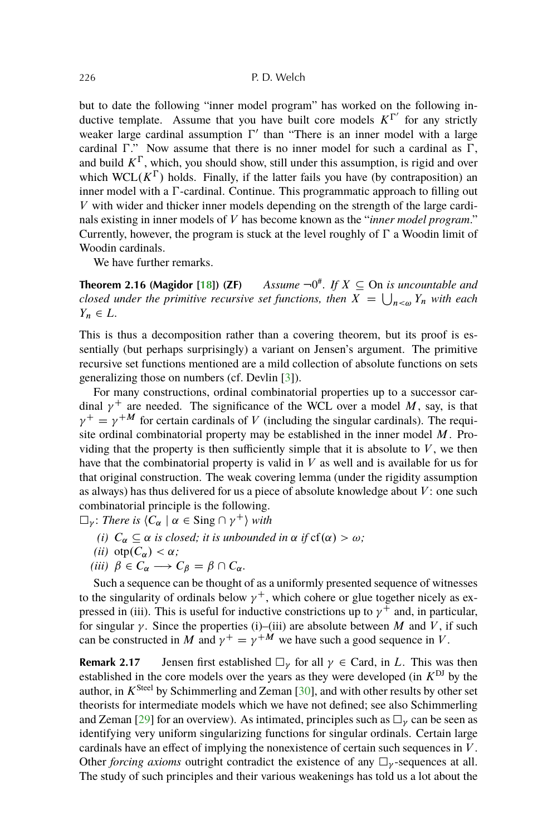<span id="page-13-0"></span>but to date the following "inner model program" has worked on the following inductive template. Assume that you have built core models  $K^{\Gamma'}$  for any strictly weaker large cardinal assumption  $\Gamma'$  than "There is an inner model with a large cardinal  $\Gamma$ ." Now assume that there is no inner model for such a cardinal as  $\Gamma$ , and build  $K^{\Gamma}$ , which, you should show, still under this assumption, is rigid and over which WCL $(K^{\Gamma})$  holds. Finally, if the latter fails you have (by contraposition) an inner model with a  $\Gamma$ -cardinal. Continue. This programmatic approach to filling out V with wider and thicker inner models depending on the strength of the large cardinals existing in inner models of V has become known as the "*inner model program*." Currently, however, the program is stuck at the level roughly of  $\Gamma$  a Woodin limit of Woodin cardinals.

We have further remarks.

**Theorem 2.16 (Magidor [\[18\]](#page-27-0)) (ZF)**  $\overline{f}$ *. If*  $X \subseteq$  On *is uncountable and closed under the primitive recursive set functions, then*  $X = \bigcup_{n \leq \omega} Y_n$  *with each*  $Y_n \in L$ .

This is thus a decomposition rather than a covering theorem, but its proof is essentially (but perhaps surprisingly) a variant on Jensen's argument. The primitive recursive set functions mentioned are a mild collection of absolute functions on sets generalizing those on numbers (cf. Devlin [\[3\]](#page-27-0)).

For many constructions, ordinal combinatorial properties up to a successor cardinal  $\gamma^+$  are needed. The significance of the WCL over a model M, say, is that  $\gamma^+ = \gamma^{+M}$  for certain cardinals of V (including the singular cardinals). The requisite ordinal combinatorial property may be established in the inner model  $M$ . Providing that the property is then sufficiently simple that it is absolute to  $V$ , we then have that the combinatorial property is valid in  $V$  as well and is available for us for that original construction. The weak covering lemma (under the rigidity assumption as always) has thus delivered for us a piece of absolute knowledge about  $V$ : one such combinatorial principle is the following.

 $\Box_{\gamma}$ : *There is*  $\langle C_{\alpha} \mid \alpha \in \text{Sing} \cap \gamma^{+} \rangle$  with

- *(i)*  $C_{\alpha} \subseteq \alpha$  *is closed; it is unbounded in*  $\alpha$  *if*  $cf(\alpha) > \omega$ *;*
- *(ii)* otp $(C_\alpha) < \alpha$ *;*
- *(iii)*  $\beta \in C_{\alpha} \longrightarrow C_{\beta} = \beta \cap C_{\alpha}$ .

Such a sequence can be thought of as a uniformly presented sequence of witnesses to the singularity of ordinals below  $\gamma^+$ , which cohere or glue together nicely as expressed in (iii). This is useful for inductive constrictions up to  $\gamma^+$  and, in particular, for singular  $\gamma$ . Since the properties (i)–(iii) are absolute between M and V, if such can be constructed in M and  $\gamma^+ = \gamma^{+M}$  we have such a good sequence in V.

**Remark 2.17** Jensen first established  $\Box_{\gamma}$  for all  $\gamma \in \text{Card}$ , in L. This was then established in the core models over the years as they were developed (in  $K<sup>DI</sup>$  by the author, in  $K^{\text{Stel}}$  by Schimmerling and Zeman [\[30\]](#page-28-0), and with other results by other set theorists for intermediate models which we have not defined; see also Schimmerling and Zeman [\[29\]](#page-28-0) for an overview). As intimated, principles such as  $\Box_{\nu}$  can be seen as identifying very uniform singularizing functions for singular ordinals. Certain large cardinals have an effect of implying the nonexistence of certain such sequences in  $V$ . Other *forcing axioms* outright contradict the existence of any  $\Box_{\nu}$ -sequences at all. The study of such principles and their various weakenings has told us a lot about the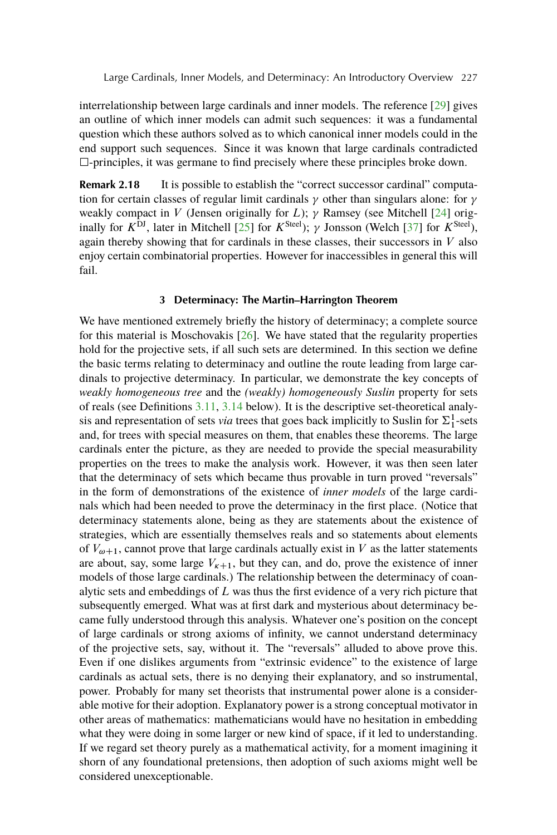<span id="page-14-0"></span>interrelationship between large cardinals and inner models. The reference [\[29\]](#page-28-0) gives an outline of which inner models can admit such sequences: it was a fundamental question which these authors solved as to which canonical inner models could in the end support such sequences. Since it was known that large cardinals contradicted  $\Box$ -principles, it was germane to find precisely where these principles broke down.

**Remark 2.18** It is possible to establish the "correct successor cardinal" computation for certain classes of regular limit cardinals  $\gamma$  other than singulars alone: for  $\gamma$ weakly compact in V (Jensen originally for L);  $\gamma$  Ramsey (see Mitchell [\[24\]](#page-28-0) originally for  $K^{DI}$ , later in Mitchell [\[25\]](#page-28-0) for  $K^{Steel}$ );  $\gamma$  Jonsson (Welch [\[37\]](#page-28-0) for  $K^{Steel}$ ), again thereby showing that for cardinals in these classes, their successors in  $V$  also enjoy certain combinatorial properties. However for inaccessibles in general this will fail.

#### **3 Determinacy: The Martin–Harrington Theorem**

We have mentioned extremely briefly the history of determinacy; a complete source for this material is Moschovakis  $[26]$ . We have stated that the regularity properties hold for the projective sets, if all such sets are determined. In this section we define the basic terms relating to determinacy and outline the route leading from large cardinals to projective determinacy. In particular, we demonstrate the key concepts of *weakly homogeneous tree* and the *(weakly) homogeneously Suslin* property for sets of reals (see Definitions [3.11,](#page-20-0) [3.14](#page-21-0) below). It is the descriptive set-theoretical analysis and representation of sets *via* trees that goes back implicitly to Suslin for  $\Sigma_1^1$ -sets and, for trees with special measures on them, that enables these theorems. The large cardinals enter the picture, as they are needed to provide the special measurability properties on the trees to make the analysis work. However, it was then seen later that the determinacy of sets which became thus provable in turn proved "reversals" in the form of demonstrations of the existence of *inner models* of the large cardinals which had been needed to prove the determinacy in the first place. (Notice that determinacy statements alone, being as they are statements about the existence of strategies, which are essentially themselves reals and so statements about elements of  $V_{\omega+1}$ , cannot prove that large cardinals actually exist in V as the latter statements are about, say, some large  $V_{k+1}$ , but they can, and do, prove the existence of inner models of those large cardinals.) The relationship between the determinacy of coanalytic sets and embeddings of  $L$  was thus the first evidence of a very rich picture that subsequently emerged. What was at first dark and mysterious about determinacy became fully understood through this analysis. Whatever one's position on the concept of large cardinals or strong axioms of infinity, we cannot understand determinacy of the projective sets, say, without it. The "reversals" alluded to above prove this. Even if one dislikes arguments from "extrinsic evidence" to the existence of large cardinals as actual sets, there is no denying their explanatory, and so instrumental, power. Probably for many set theorists that instrumental power alone is a considerable motive for their adoption. Explanatory power is a strong conceptual motivator in other areas of mathematics: mathematicians would have no hesitation in embedding what they were doing in some larger or new kind of space, if it led to understanding. If we regard set theory purely as a mathematical activity, for a moment imagining it shorn of any foundational pretensions, then adoption of such axioms might well be considered unexceptionable.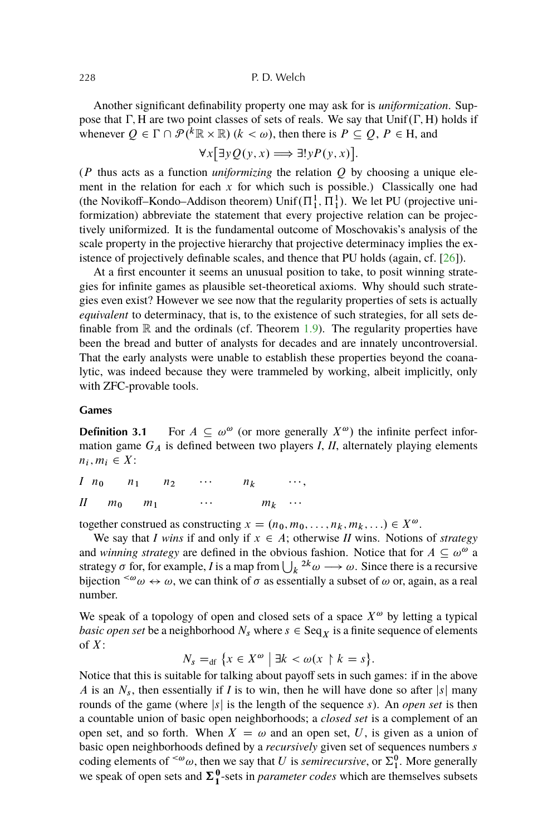#### <span id="page-15-0"></span>228 P. D. Welch

Another significant definability property one may ask for is *uniformization*. Suppose that  $\Gamma$ , H are two point classes of sets of reals. We say that  $Unif(\Gamma, H)$  holds if whenever  $Q \in \Gamma \cap \mathcal{P}(\overline{k} \mathbb{R} \times \mathbb{R})$   $(k < \omega)$ , then there is  $P \subseteq Q$ ,  $P \in H$ , and

$$
\forall x [\exists y Q(y, x) \Longrightarrow \exists! y P(y, x)].
$$

( $P$  thus acts as a function *uniformizing* the relation  $Q$  by choosing a unique element in the relation for each  $x$  for which such is possible.) Classically one had (the Novikoff–Kondo–Addison theorem)  $Unif(\Pi_1^1, \Pi_1^1)$ . We let PU (projective uniformization) abbreviate the statement that every projective relation can be projectively uniformized. It is the fundamental outcome of Moschovakis's analysis of the scale property in the projective hierarchy that projective determinacy implies the existence of projectively definable scales, and thence that PU holds (again, cf.  $[26]$ ).

At a first encounter it seems an unusual position to take, to posit winning strategies for infinite games as plausible set-theoretical axioms. Why should such strategies even exist? However we see now that the regularity properties of sets is actually *equivalent* to determinacy, that is, to the existence of such strategies, for all sets definable from  $\mathbb R$  and the ordinals (cf. Theorem [1.9\)](#page-6-0). The regularity properties have been the bread and butter of analysts for decades and are innately uncontroversial. That the early analysts were unable to establish these properties beyond the coanalytic, was indeed because they were trammeled by working, albeit implicitly, only with ZFC-provable tools.

## **Games**

**Definition 3.1** For  $A \subseteq \omega^{\omega}$  (or more generally  $X^{\omega}$ ) the infinite perfect information game  $G_A$  is defined between two players  $I$ ,  $II$ , alternately playing elements  $n_i, m_i \in X$ :

 $I \t n_0 \t n_1 \t n_2 \t \cdots \t n_k \t \cdots,$  $II$   $m_0$   $m_1$   $\cdots$   $m_k$   $\cdots$ 

together construed as constructing  $x = (n_0, m_0, \dots, n_k, m_k, \dots) \in X^\omega$ .

We say that *I wins* if and only if  $x \in A$ ; otherwise *II* wins. Notions of *strategy* and *winning strategy* are defined in the obvious fashion. Notice that for  $A \subseteq \omega^{\omega}$  a strategy  $\sigma$  for, for example, *I* is a map from  $\bigcup_k 2^k \omega \longrightarrow \omega$ . Since there is a recursive bijection  $\omega \leftrightarrow \omega$ , we can think of  $\sigma$  as essentially a subset of  $\omega$  or, again, as a real number.

We speak of a topology of open and closed sets of a space  $X^{\omega}$  by letting a typical *basic open set* be a neighborhood  $N_s$  where  $s \in \text{Seq}_X$  is a finite sequence of elements of  $X$ :

$$
N_s =_{\text{df}} \{ x \in X^{\omega} \mid \exists k < \omega \quad \uparrow k = s \}.
$$

Notice that this is suitable for talking about payoff sets in such games: if in the above A is an  $N_s$ , then essentially if I is to win, then he will have done so after  $|s|$  many rounds of the game (where  $|s|$  is the length of the sequence s). An *open set* is then a countable union of basic open neighborhoods; a *closed set* is a complement of an open set, and so forth. When  $X = \omega$  and an open set, U, is given as a union of basic open neighborhoods defined by a *recursively* given set of sequences numbers s coding elements of <sup> $< \omega$ </sup> $\omega$ , then we say that U is *semirecursive*, or  $\Sigma_1^0$ . More generally we speak of open sets and  $\Sigma_1^0$ -sets in *parameter codes* which are themselves subsets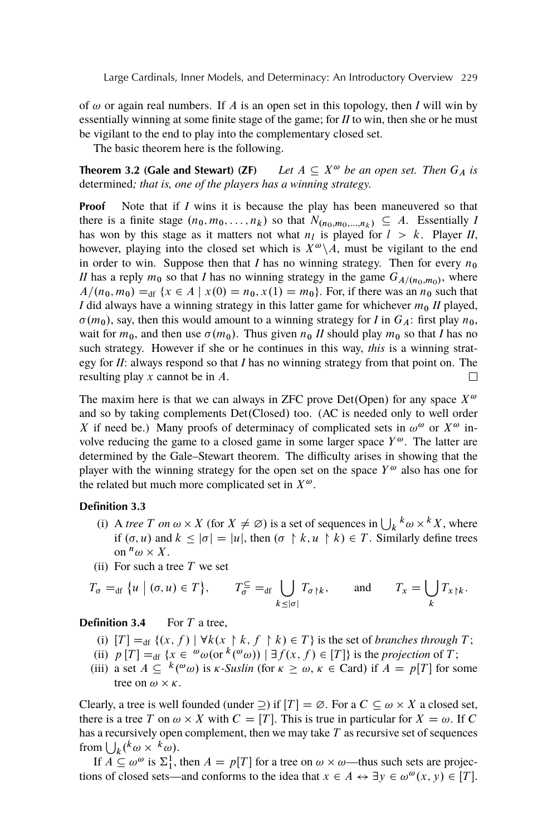of  $\omega$  or again real numbers. If A is an open set in this topology, then I will win by essentially winning at some finite stage of the game; for *II* to win, then she or he must be vigilant to the end to play into the complementary closed set.

The basic theorem here is the following.

**Theorem 3.2 (Gale and Stewart) (ZF)** *Let*  $A \subseteq X^{\omega}$  *be an open set. Then*  $G_A$  *is* determined*; that is, one of the players has a winning strategy.*

**Proof** Note that if *I* wins it is because the play has been maneuvered so that there is a finite stage  $(n_0, m_0, \ldots, n_k)$  so that  $N_{(n_0, m_0, \ldots, n_k)} \subseteq A$ . Essentially *I* has won by this stage as it matters not what  $n_l$  is played for  $l > k$ . Player *II*, however, playing into the closed set which is  $X^{\omega}\backslash A$ , must be vigilant to the end in order to win. Suppose then that *I* has no winning strategy. Then for every  $n_0$ *II* has a reply  $m_0$  so that *I* has no winning strategy in the game  $G_{A/(n_0,m_0)}$ , where  $A/(n_0, m_0) =_{df} {x \in A | x(0) = n_0, x(1) = m_0}.$  For, if there was an  $n_0$  such that *I* did always have a winning strategy in this latter game for whichever  $m_0$  *II* played,  $\sigma(m_0)$ , say, then this would amount to a winning strategy for *I* in  $G_A$ : first play  $n_0$ , wait for  $m_0$ , and then use  $\sigma(m_0)$ . Thus given  $n_0$  *II* should play  $m_0$  so that *I* has no such strategy. However if she or he continues in this way, *this* is a winning strategy for *II*: always respond so that *I* has no winning strategy from that point on. The resulting play x cannot be in A.  $\Box$ 

The maxim here is that we can always in ZFC prove Det(Open) for any space  $X^{\omega}$ and so by taking complements Det(Closed) too. (AC is needed only to well order X if need be.) Many proofs of determinacy of complicated sets in  $\omega^{\omega}$  or  $X^{\omega}$  involve reducing the game to a closed game in some larger space  $Y^{\omega}$ . The latter are determined by the Gale–Stewart theorem. The difficulty arises in showing that the player with the winning strategy for the open set on the space  $Y^{\omega}$  also has one for the related but much more complicated set in  $X^{\omega}$ .

#### **Definition 3.3**

- (i) A *tree* T on  $\omega \times X$  (for  $X \neq \emptyset$ ) is a set of sequences in  $\bigcup_{k} k_{\omega} \times K X$ , where if  $(\sigma, u)$  and  $k \le |\sigma| = |u|$ , then  $(\sigma \upharpoonright k, u \upharpoonright k) \in T$ . Similarly define trees on  $\sqrt[n]{\omega} \times X$ .
- (ii) For such a tree  $T$  we set

$$
T_{\sigma} =_{df} \{ u \mid (\sigma, u) \in T \}, \qquad T_{\sigma}^{\subseteq} =_{df} \bigcup_{k \leq |\sigma|} T_{\sigma \upharpoonright k}, \qquad \text{and} \qquad T_x = \bigcup_{k} T_{x \upharpoonright k}.
$$

**Definition 3.4** For T a tree,

- (i)  $[T] =_{df} \{(x, f) | \forall k (x \upharpoonright k, f \upharpoonright k) \in T\}$  is the set of *branches through* T;
- (ii)  $p[T] =_{df} \{x \in {}^{\omega} \omega(\text{or} \, {}^k({}^{\omega} \omega)) \mid \exists f(x, f) \in [T] \}$  is the *projection* of T;
- (iii) a set  $A \subseteq {}^{k}({}^{\omega}\omega)$  is *k*-Suslin (for  $\kappa \geq \omega, \kappa \in \text{Card}$ ) if  $A = p[T]$  for some tree on  $\omega \times \kappa$ .

Clearly, a tree is well founded (under  $\supseteq$ ) if  $[T] = \emptyset$ . For a  $C \subseteq \omega \times X$  a closed set, there is a tree T on  $\omega \times X$  with  $C = [T]$ . This is true in particular for  $X = \omega$ . If C has a recursively open complement, then we may take  $T$  as recursive set of sequences from  $\bigcup_k ({}^k \omega \times {}^k \omega).$ 

If  $\overline{A} \subseteq \omega^{\omega}$  is  $\Sigma_1^1$ , then  $A = p[T]$  for a tree on  $\omega \times \omega$ —thus such sets are projections of closed sets—and conforms to the idea that  $x \in A \leftrightarrow \exists y \in \omega^{\omega}(x, y) \in [T]$ .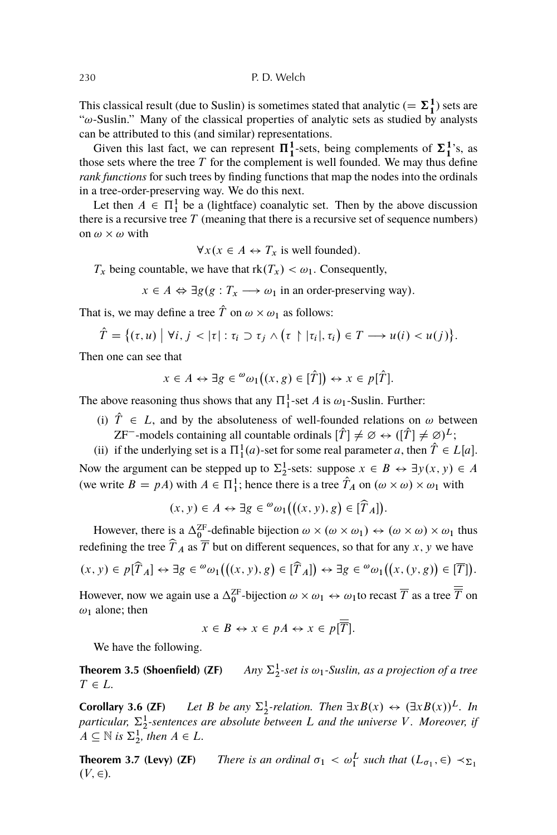<span id="page-17-0"></span>This classical result (due to Suslin) is sometimes stated that analytic ( $=\Sigma_1^1$ ) sets are " $\omega$ -Suslin." Many of the classical properties of analytic sets as studied by analysts can be attributed to this (and similar) representations.

Given this last fact, we can represent  $\Pi_1^1$ -sets, being complements of  $\Sigma_1^1$ 's, as those sets where the tree  $T$  for the complement is well founded. We may thus define *rank functions* for such trees by finding functions that map the nodes into the ordinals in a tree-order-preserving way. We do this next.

Let then  $A \in \Pi_1^1$  be a (lightface) coanalytic set. Then by the above discussion there is a recursive tree  $T$  (meaning that there is a recursive set of sequence numbers) on  $\omega \times \omega$  with

 $\forall x (x \in A \leftrightarrow T_x \text{ is well founded}).$ 

 $T_x$  being countable, we have that  $rk(T_x) < \omega_1$ . Consequently,

 $x \in A \Leftrightarrow \exists g(g : T_x \longrightarrow \omega_1 \text{ in an order-preserving way}).$ 

That is, we may define a tree  $\hat{T}$  on  $\omega \times \omega_1$  as follows:

$$
\hat{T} = \{(\tau, u) \mid \forall i, j < |\tau| : \tau_i \supset \tau_j \land (\tau \upharpoonright |\tau_i|, \tau_i) \in T \longrightarrow u(i) < u(j)\}.
$$

Then one can see that

$$
x \in A \leftrightarrow \exists g \in {}^{\omega}\omega_1((x,g) \in [\hat{T}]) \leftrightarrow x \in p[\hat{T}].
$$

The above reasoning thus shows that any  $\Pi_1^1$ -set A is  $\omega_1$ -Suslin. Further:

(i)  $\hat{T} \in L$ , and by the absoluteness of well-founded relations on  $\omega$  between ZF<sup>-</sup>-models containing all countable ordinals  $[\hat{T}] \neq \emptyset \leftrightarrow ([\hat{T}] \neq \emptyset)^L$ ;

(ii) if the underlying set is a  $\Pi_1^1(a)$ -set for some real parameter a, then  $\hat{T} \in L[a]$ . Now the argument can be stepped up to  $\Sigma_2^1$ -sets: suppose  $x \in B \leftrightarrow \exists y(x, y) \in A$ (we write  $B = pA$ ) with  $A \in \Pi_1^1$ ; hence there is a tree  $\hat{T}_A$  on  $(\omega \times \omega) \times \omega_1$  with

$$
(x,y)\in A \leftrightarrow \exists g\in{}^{\omega}\omega_1\bigl(\bigl((x,y),g\bigr)\in [\widehat{T}_A]\bigr).
$$

However, there is a  $\Delta_0^{ZF}$ -definable bijection  $\omega \times (\omega \times \omega_1) \leftrightarrow (\omega \times \omega) \times \omega_1$  thus redefining the tree  $\widehat{T}_A$  as  $\overline{T}$  but on different sequences, so that for any x, y we have

$$
(x, y) \in p[\widehat{T}_A] \leftrightarrow \exists g \in {^{\omega}\omega_1}((x, y), g) \in [\widehat{T}_A]) \leftrightarrow \exists g \in {^{\omega}\omega_1}((x, (y, g)) \in [\overline{T}]).
$$

However, now we again use a  $\Delta_0^{ZF}$ -bijection  $\omega \times \omega_1 \leftrightarrow \omega_1$ to recast  $\overline{T}$  as a tree  $\overline{T}$  on  $\omega_1$  alone; then

$$
x \in B \leftrightarrow x \in pA \leftrightarrow x \in p[\overline{T}].
$$

We have the following.

**Theorem 3.5 (Shoenfield) (ZF)** *Any*  $\Sigma^1_2$ -set is  $\omega_1$ -Suslin, as a projection of a tree  $T \in L$ .

**Corollary 3.6 (ZF)** *Let* B *be any*  $\Sigma_2^1$ -relation. Then  $\exists x B(x) \leftrightarrow (\exists x B(x))^L$ . In particular,  $\Sigma^1_2$ -sentences are absolute between L and the universe V *. Moreover, if*  $A \subseteq \mathbb{N}$  is  $\Sigma_2^1$ , then  $A \in L$ .

**Theorem 3.7 (Levy) (ZF)** *There is an ordinal*  $\sigma_1 < \omega_1^L$  such that  $(L_{\sigma_1}, \in) \prec_{\Sigma_1}$  $(V, \in)$ .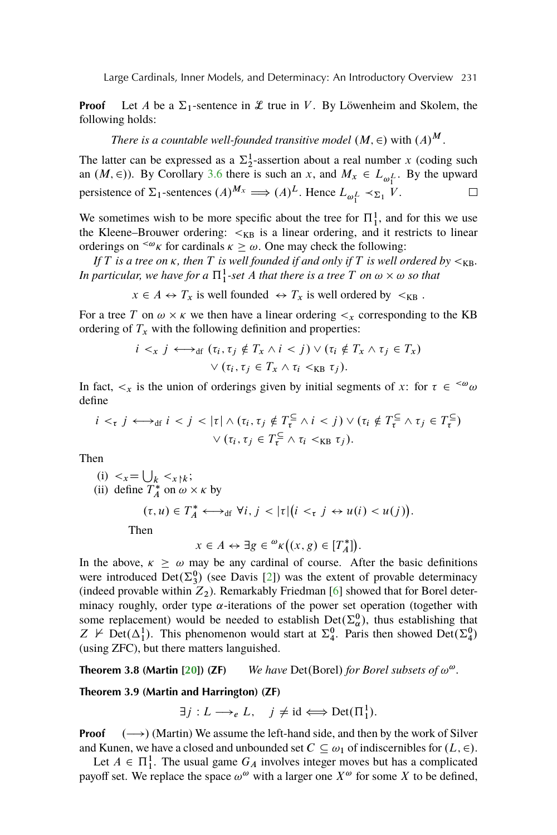<span id="page-18-0"></span>**Proof** Let A be a  $\Sigma_1$ -sentence in L true in V. By Löwenheim and Skolem, the following holds:

*There is a countable well-founded transitive model*  $(M, \in)$  with  $(A)^M$ .

The latter can be expressed as a  $\Sigma_2^1$ -assertion about a real number x (coding such an  $(M, \epsilon)$ ). By Corollary [3.6](#page-17-0) there is such an x, and  $M_x \in L_{\omega_1^L}$ . By the upward persistence of  $\Sigma_1$ -sentences  $(A)^{M_X} \Longrightarrow (A)^L$ . Hence  $L_{\omega_1^L} \prec_{\Sigma_1} V$ .  $\Box$ 

We sometimes wish to be more specific about the tree for  $\Pi_1^1$ , and for this we use the Kleene–Brouwer ordering:  $\lt_{KB}$  is a linear ordering, and it restricts to linear orderings on  $\leq \omega$  for cardinals  $\kappa \geq \omega$ . One may check the following:

*If*  $T$  *is a tree on*  $\kappa$ *, then*  $T$  *is well founded if and only if*  $T$  *is well ordered by*  $\lt_{KB}$ *.* In particular, we have for a  $\Pi_1^1$ -set A that there is a tree T on  $\omega \times \omega$  so that

$$
x \in A \leftrightarrow T_x
$$
 is well founded  $\leftrightarrow T_x$  is well ordered by  $\lt_{KB}$ .

For a tree T on  $\omega \times \kappa$  we then have a linear ordering  $\lt_x$  corresponding to the KB ordering of  $T_x$  with the following definition and properties:

$$
i <_x j \longleftrightarrow_{\text{df}} (\tau_i, \tau_j \notin T_x \land i < j) \lor (\tau_i \notin T_x \land \tau_j \in T_x)
$$
  
 
$$
\lor (\tau_i, \tau_j \in T_x \land \tau_i <_{\text{KB}} \tau_j).
$$

In fact,  $\lt_x$  is the union of orderings given by initial segments of x: for  $\tau \in \infty$ define

$$
i <_{\tau} j \longleftrightarrow_{df} i < j < |\tau| \wedge (\tau_i, \tau_j \notin T_{\tau}^{\subseteq} \wedge i < j) \vee (\tau_i \notin T_{\tau}^{\subseteq} \wedge \tau_j \in T_{\tau}^{\subseteq})
$$
  
 
$$
\vee (\tau_i, \tau_j \in T_{\tau}^{\subseteq} \wedge \tau_i <_{KB} \tau_j).
$$

Then

(i) 
$$
\langle x = \bigcup_k \langle x \rangle_k
$$
;\n(ii) define  $T_A^*$  on  $\omega \times \kappa$  by\n $(\tau, u) \in T_A^* \longleftrightarrow_{\text{df}} \forall i, j < |\tau| (i <_{\tau} j \leftrightarrow u(i) < u(j)).$ \nThen

$$
x \in A \leftrightarrow \exists g \in {^{\omega}\kappa}((x,g) \in [T_A^*]).
$$

In the above,  $\kappa \ge \omega$  may be any cardinal of course. After the basic definitions were introduced  $Det(\Sigma_3^0)$  (see Davis [\[2\]](#page-26-0)) was the extent of provable determinacy (indeed provable within  $Z_2$ ). Remarkably Friedman [\[6\]](#page-27-0) showed that for Borel determinacy roughly, order type  $\alpha$ -iterations of the power set operation (together with some replacement) would be needed to establish  $Det(\Sigma_{\alpha}^{0})$ , thus establishing that Z  $\neq$  Det $(\Delta_1^1)$ . This phenomenon would start at  $\Sigma_4^0$ . Paris then showed Det $(\Sigma_4^0)$ (using ZFC), but there matters languished.

**Theorem 3.8 (Martin [\[20\]](#page-27-0)) (ZF)** We have Det(Borel) for Borel subsets of  $\omega^{\omega}$ .

**Theorem 3.9 (Martin and Harrington) (ZF)**

 $\exists j: L \longrightarrow_e L, \quad j \neq id \Longleftrightarrow Det(\Pi_1^1).$ 

**Proof**  $(\rightarrow)$  (Martin) We assume the left-hand side, and then by the work of Silver and Kunen, we have a closed and unbounded set  $C \subseteq \omega_1$  of indiscernibles for  $(L, \in)$ .

Let  $A \in \Pi_1^1$ . The usual game  $G_A$  involves integer moves but has a complicated payoff set. We replace the space  $\omega^{\omega}$  with a larger one  $X^{\omega}$  for some X to be defined,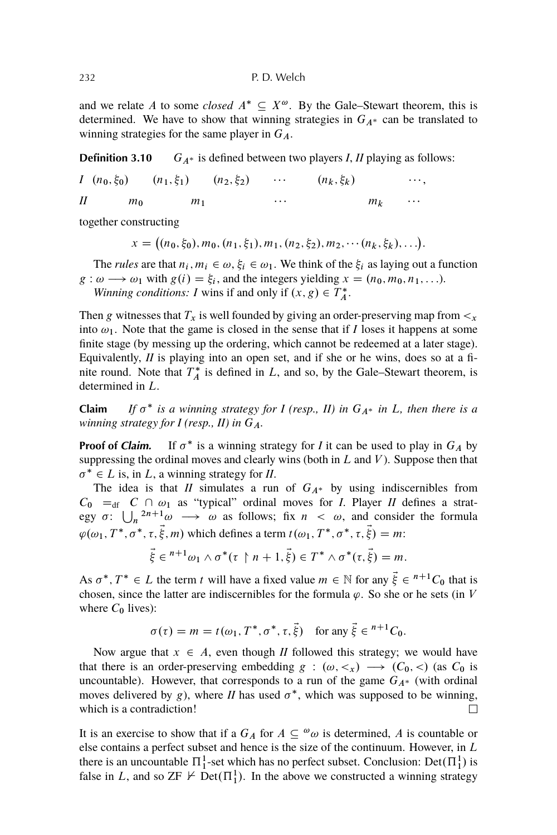and we relate A to some *closed*  $A^* \subseteq X^\omega$ . By the Gale–Stewart theorem, this is determined. We have to show that winning strategies in  $G_{A^*}$  can be translated to winning strategies for the same player in  $G_A$ .

**Definition 3.10**  $G_{A^*}$  is defined between two players *I*, *II* playing as follows:

*I*  $(n_0, \xi_0)$   $(n_1, \xi_1)$   $(n_2, \xi_2)$   $\cdots$   $(n_k, \xi_k)$  $II \qquad m_0 \qquad m_1 \qquad \cdots \qquad m_k \qquad \cdots$ 

together constructing

 $x = ((n_0, \xi_0), m_0, (n_1, \xi_1), m_1, (n_2, \xi_2), m_2, \cdots (n_k, \xi_k), \ldots).$ 

The *rules* are that  $n_i$ ,  $m_i \in \omega$ ,  $\xi_i \in \omega_1$ . We think of the  $\xi_i$  as laying out a function  $g: \omega \longrightarrow \omega_1$  with  $g(i) = \xi_i$ , and the integers yielding  $x = (n_0, m_0, n_1, \ldots)$ . *Winning conditions: I* wins if and only if  $(x, g) \in T_A^*$ '\* .

Then g witnesses that  $T_x$  is well founded by giving an order-preserving map from  $\lt_x$ into  $\omega_1$ . Note that the game is closed in the sense that if *I* loses it happens at some finite stage (by messing up the ordering, which cannot be redeemed at a later stage). Equivalently, *II* is playing into an open set, and if she or he wins, does so at a finite round. Note that  $T_A^*$  $A^*$  is defined in L, and so, by the Gale–Stewart theorem, is determined in L.

**Claim** *If*  $i$  *is a winning strategy for I (resp., II) in*  $G_{A*}$  *in L, then there is a winning strategy for I (resp., II) in*  $G_A$ .

**Proof of Claim.** \* is a winning strategy for *I* it can be used to play in  $G_A$  by suppressing the ordinal moves and clearly wins (both in  $L$  and  $V$ ). Suppose then that  $\sigma^* \in L$  is, in L, a winning strategy for *II*.

The idea is that *II* simulates a run of  $G_{A*}$  by using indiscernibles from  $C_0$  =  $_{df}$  C  $\cap$   $\omega_1$  as "typical" ordinal moves for *I*. Player *II* defines a strategy  $\sigma$ :  $\bigcup_{n} 2n+1 \omega \longrightarrow \omega$  as follows; fix  $n < \omega$ , and consider the formula  $\varphi(\omega_1, T^*, \sigma^*, \tau, \vec{\xi}, m)$  which defines a term  $t(\omega_1, T^*, \sigma^*, \tau, \vec{\xi}) = m$ :

$$
\vec{\xi} \in {}^{n+1}\omega_1 \wedge \sigma^*(\tau \upharpoonright n+1, \vec{\xi}) \in T^* \wedge \sigma^*(\tau, \vec{\xi}) = m.
$$

As  $\sigma^*$ ,  $T^* \in L$  the term t will have a fixed value  $m \in \mathbb{N}$  for any  $\vec{\xi} \in {}^{n+1}C_0$  that is chosen, since the latter are indiscernibles for the formula  $\varphi$ . So she or he sets (in V where  $C_0$  lives):

$$
\sigma(\tau) = m = t(\omega_1, T^*, \sigma^*, \tau, \vec{\xi}) \quad \text{for any } \vec{\xi} \in {}^{n+1}C_0.
$$

Now argue that  $x \in A$ , even though *II* followed this strategy; we would have that there is an order-preserving embedding  $g : (\omega, \langle x \rangle) \longrightarrow (C_0, \langle x \rangle)$  (as  $C_0$  is uncountable). However, that corresponds to a run of the game  $G_{A^*}$  (with ordinal moves delivered by g), where *II* has used  $\sigma^*$ , which was supposed to be winning, which is a contradiction!  $\Box$ 

It is an exercise to show that if a  $G_A$  for  $A \subseteq \omega_\omega$  is determined, A is countable or else contains a perfect subset and hence is the size of the continuum. However, in L there is an uncountable  $\Pi_1^1$ -set which has no perfect subset. Conclusion: Det $(\Pi_1^1)$  is false in L, and so ZF  $\nvDash$  Det( $\Pi_1^1$ ). In the above we constructed a winning strategy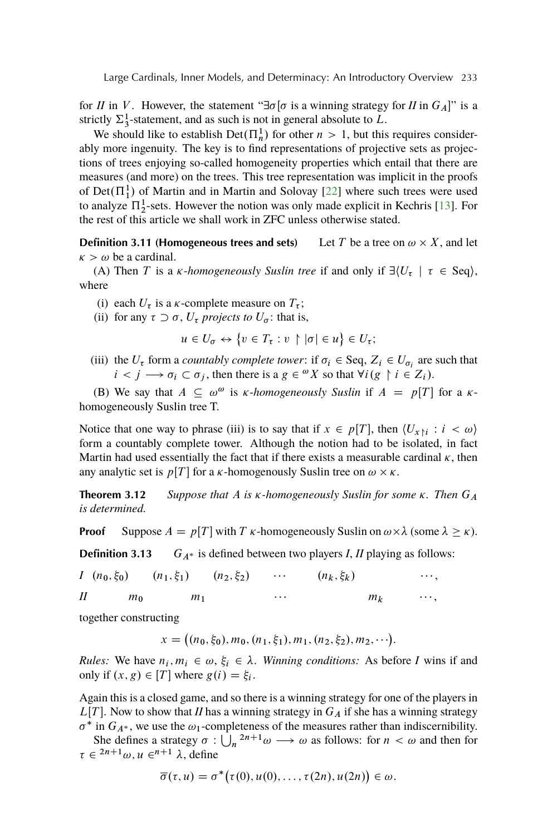<span id="page-20-0"></span>for *II* in *V*. However, the statement " $\exists \sigma[\sigma \text{ is a winning strategy for } II \text{ in } G_A]$ " is a strictly  $\Sigma_3^1$ -statement, and as such is not in general absolute to L.

We should like to establish  $Det(\Pi_n^1)$  for other  $n > 1$ , but this requires considerably more ingenuity. The key is to find representations of projective sets as projections of trees enjoying so-called homogeneity properties which entail that there are measures (and more) on the trees. This tree representation was implicit in the proofs of  $Det(\Pi_1^1)$  of Martin and in Martin and Solovay [\[22\]](#page-27-0) where such trees were used to analyze  $\Pi_2^1$ -sets. However the notion was only made explicit in Kechris [\[13\]](#page-27-0). For the rest of this article we shall work in ZFC unless otherwise stated.

**Definition 3.11 (Homogeneous trees and sets)** Let T be a tree on  $\omega \times X$ , and let  $\kappa > \omega$  be a cardinal.

(A) Then T is a *k*-*homogeneously Suslin tree* if and only if  $\exists \langle U_\tau | \tau \in \text{Seq} \rangle$ , where

- (i) each  $U_{\tau}$  is a *k*-complete measure on  $T_{\tau}$ ;
- (ii) for any  $\tau \supset \sigma$ ,  $U_{\tau}$  *projects to*  $U_{\sigma}$ : that is,

 $u \in U_{\sigma} \leftrightarrow \{v \in T_{\tau} : v \upharpoonright |\sigma| \in u\} \in U_{\tau};$ 

(iii) the  $U_{\tau}$  form a *countably complete tower*: if  $\sigma_i \in \text{Seq}, Z_i \in U_{\sigma_i}$  are such that  $i < j \longrightarrow \sigma_i \subset \sigma_j$ , then there is a  $g \in {}^{\omega}X$  so that  $\forall i (g \restriction i \in Z_i)$ .

(B) We say that  $A \subseteq \omega^{\omega}$  is *k*-*homogeneously Suslin* if  $A = p[T]$  for a *k*homogeneously Suslin tree T.

Notice that one way to phrase (iii) is to say that if  $x \in p[T]$ , then  $\langle U_{x} \rangle$  :  $i < \omega$ form a countably complete tower. Although the notion had to be isolated, in fact Martin had used essentially the fact that if there exists a measurable cardinal  $\kappa$ , then any analytic set is  $p[T]$  for a  $\kappa$ -homogenously Suslin tree on  $\omega \times \kappa$ .

**Theorem 3.12** Suppose that A is  $\kappa$ -homogeneously Suslin for some  $\kappa$ . Then  $G_A$ *is determined.*

**Proof** Suppose  $A = p[T]$  with T  $\kappa$ -homogeneously Suslin on  $\omega \times \lambda$  (some  $\lambda \ge \kappa$ ).

**Definition 3.13**  $G_{A^*}$  is defined between two players *I*, *II* playing as follows:

*I*  $(n_0, \xi_0)$   $(n_1, \xi_1)$   $(n_2, \xi_2)$   $\cdots$   $(n_k, \xi_k)$  $II \qquad m_0 \qquad m_1 \qquad \cdots \qquad m_k \qquad \cdots,$ 

together constructing

 $x = ((n_0, \xi_0), m_0, (n_1, \xi_1), m_1, (n_2, \xi_2), m_2, \cdots).$ 

*Rules:* We have  $n_i, m_i \in \omega, \xi_i \in \lambda$ . *Winning conditions:* As before *I* wins if and only if  $(x, g) \in [T]$  where  $g(i) = \xi_i$ .

Again this is a closed game, and so there is a winning strategy for one of the players in  $L[T]$ . Now to show that *II* has a winning strategy in  $G_A$  if she has a winning strategy  $\sigma^*$  in  $G_{A^*}$ , we use the  $\omega_1$ -completeness of the measures rather than indiscernibility.

She defines a strategy  $\sigma : \bigcup_{n} 2n+1} \omega \longrightarrow \omega$  as follows: for  $n < \omega$  and then for  $\tau \in {}^{2n+1}\omega, u \in {}^{n+1}\lambda$ , define

$$
\overline{\sigma}(\tau, u) = \sigma^*(\tau(0), u(0), \ldots, \tau(2n), u(2n)) \in \omega.
$$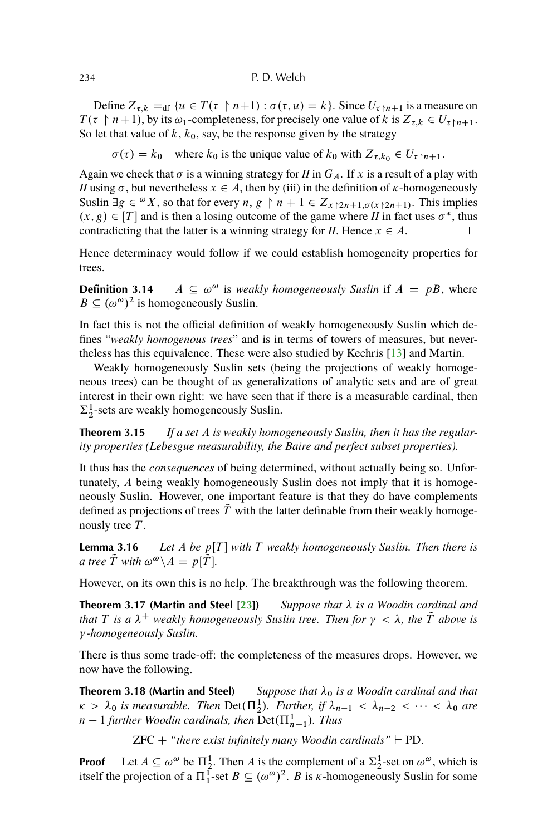#### <span id="page-21-0"></span>234 P. D. Welch

Define  $Z_{\tau,k} =_{df} \{u \in T(\tau \mid n+1) : \overline{\sigma}(\tau, u) = k\}$ . Since  $U_{\tau \mid n+1}$  is a measure on  $T(\tau \upharpoonright n+1)$ , by its  $\omega_1$ -completeness, for precisely one value of k is  $Z_{\tau,k} \in U_{\tau \upharpoonright n+1}$ . So let that value of  $k, k_0$ , say, be the response given by the strategy

 $\sigma(\tau) = k_0$  where  $k_0$  is the unique value of  $k_0$  with  $Z_{\tau,k_0} \in U_{\tau}$ <sub>1</sub>n+1.

Again we check that  $\sigma$  is a winning strategy for *II* in  $G_A$ . If x is a result of a play with *II* using  $\sigma$ , but nevertheless  $x \in A$ , then by (iii) in the definition of  $\kappa$ -homogeneously Suslin  $\exists g \in {}^{\omega}X$ , so that for every  $n, g \upharpoonright n + 1 \in Z_{x \upharpoonright 2n+1, \sigma(x \upharpoonright 2n+1)}$ . This implies  $(x, g) \in [T]$  and is then a losing outcome of the game where *II* in fact uses  $\sigma^*$ , thus contradicting that the latter is a winning strategy for *II*. Hence  $x \in A$ .

Hence determinacy would follow if we could establish homogeneity properties for trees.

**Definition 3.14**  $A \subseteq \omega^{\omega}$  is *weakly homogeneously Suslin* if  $A = pB$ , where  $B \subseteq (\omega^{\omega})^2$  is homogeneously Suslin.

In fact this is not the official definition of weakly homogeneously Suslin which defines "*weakly homogenous trees*" and is in terms of towers of measures, but nevertheless has this equivalence. These were also studied by Kechris [\[13\]](#page-27-0) and Martin.

Weakly homogeneously Suslin sets (being the projections of weakly homogeneous trees) can be thought of as generalizations of analytic sets and are of great interest in their own right: we have seen that if there is a measurable cardinal, then  $\Sigma^1_2$ -sets are weakly homogeneously Suslin.

**Theorem 3.15** *If a set* A *is weakly homogeneously Suslin, then it has the regularity properties (Lebesgue measurability, the Baire and perfect subset properties).*

It thus has the *consequences* of being determined, without actually being so. Unfortunately, A being weakly homogeneously Suslin does not imply that it is homogeneously Suslin. However, one important feature is that they do have complements defined as projections of trees  $\overline{T}$  with the latter definable from their weakly homogenously tree T.

**Lemma 3.16** *Let* A be  $p[T]$  with T weakly homogeneously Suslin. Then there is *a* tree  $\tilde{T}$  with  $\omega^{\omega} \backslash A = p[\tilde{T}].$ 

However, on its own this is no help. The breakthrough was the following theorem.

**Theorem 3.17 (Martin and Steel [\[23\]](#page-27-0))** *Suppose that is a Woodin cardinal and that* T is a  $\lambda^+$  weakly homogeneously Suslin tree. Then for  $\gamma < \lambda$ , the  $\tilde{T}$  above is *-homogeneously Suslin.*

There is thus some trade-off: the completeness of the measures drops. However, we now have the following.

**Theorem 3.18 (Martin and Steel)** *Suppose that*  $\lambda_0$  *is a Woodin cardinal and that*  $\kappa > \lambda_0$  is measurable. Then Det $(\Pi_2^1)$ . Further, if  $\lambda_{n-1} < \lambda_{n-2} < \cdots < \lambda_0$  are  $n-1$  further Woodin cardinals, then  $\overline{\mathrm{Det}}(\Pi_{n+1}^1)$ . Thus

ZFC  $+$  "there exist infinitely many Woodin cardinals"  $\vdash$  PD.

**Proof** Let  $A \subseteq \omega^{\omega}$  be  $\Pi_2^1$ . Then A is the complement of a  $\Sigma_2^1$ -set on  $\omega^{\omega}$ , which is itself the projection of a  $\Pi_1^{\bar{T}}$ -set  $B \subseteq (\omega^{\omega})^2$ . B is  $\kappa$ -homogeneously Suslin for some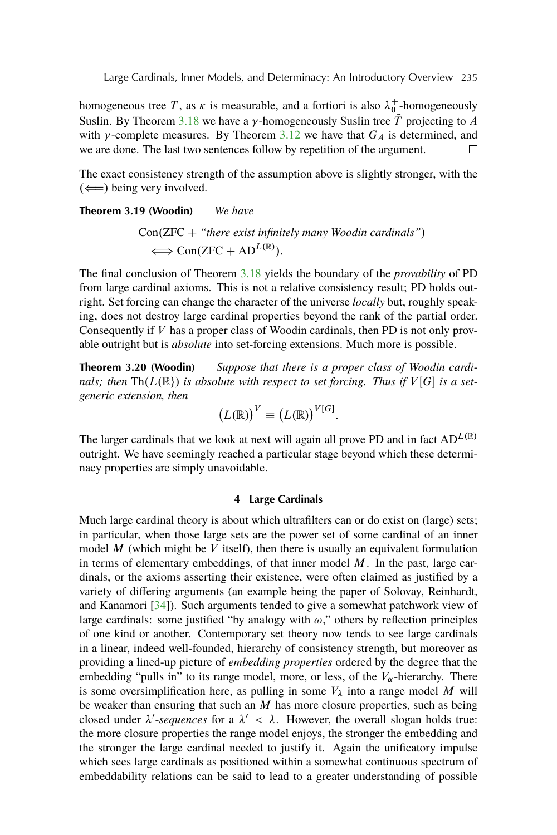<span id="page-22-0"></span>homogeneous tree T, as  $\kappa$  is measurable, and a fortiori is also  $\lambda_0^+$  $_{0}^{+}$ -homogeneously Suslin. By Theorem [3.18](#page-21-0) we have a  $\gamma$ -homogeneously Suslin tree  $\tilde{T}$  projecting to A with  $\gamma$ -complete measures. By Theorem [3.12](#page-20-0) we have that  $G_A$  is determined, and we are done. The last two sentences follow by repetition of the argument.  $\Box$ 

The exact consistency strength of the assumption above is slightly stronger, with the  $(\Leftarrow)$  being very involved.

#### **Theorem 3.19 (Woodin)** *We have*

Con(ZFC + "there exist infinitely many Woodin cardinals")  $\Longleftrightarrow$  Con(ZFC + AD<sup>L(R)</sup>).

The final conclusion of Theorem [3.18](#page-21-0) yields the boundary of the *provability* of PD from large cardinal axioms. This is not a relative consistency result; PD holds outright. Set forcing can change the character of the universe *locally* but, roughly speaking, does not destroy large cardinal properties beyond the rank of the partial order. Consequently if V has a proper class of Woodin cardinals, then PD is not only provable outright but is *absolute* into set-forcing extensions. Much more is possible.

**Theorem 3.20 (Woodin)** *Suppose that there is a proper class of Woodin cardi*nals; then  $\text{Th}(L(\mathbb{R}))$  is absolute with respect to set forcing. Thus if  $V[G]$  is a set*generic extension, then*

$$
(L(\mathbb{R}))^V = (L(\mathbb{R}))^{V[G]}.
$$

The larger cardinals that we look at next will again all prove PD and in fact  $AD^{L(\mathbb{R})}$ outright. We have seemingly reached a particular stage beyond which these determinacy properties are simply unavoidable.

# **4 Large Cardinals**

Much large cardinal theory is about which ultrafilters can or do exist on (large) sets; in particular, when those large sets are the power set of some cardinal of an inner model  $M$  (which might be V itself), then there is usually an equivalent formulation in terms of elementary embeddings, of that inner model  $M$ . In the past, large cardinals, or the axioms asserting their existence, were often claimed as justified by a variety of differing arguments (an example being the paper of Solovay, Reinhardt, and Kanamori [\[34\]](#page-28-0)). Such arguments tended to give a somewhat patchwork view of large cardinals: some justified "by analogy with  $\omega$ ," others by reflection principles of one kind or another. Contemporary set theory now tends to see large cardinals in a linear, indeed well-founded, hierarchy of consistency strength, but moreover as providing a lined-up picture of *embedding properties* ordered by the degree that the embedding "pulls in" to its range model, more, or less, of the  $V_\alpha$ -hierarchy. There is some oversimplification here, as pulling in some  $V_{\lambda}$  into a range model M will be weaker than ensuring that such an  $M$  has more closure properties, such as being closed under  $\lambda'$ -sequences for a  $\lambda' < \lambda$ . However, the overall slogan holds true: the more closure properties the range model enjoys, the stronger the embedding and the stronger the large cardinal needed to justify it. Again the unificatory impulse which sees large cardinals as positioned within a somewhat continuous spectrum of embeddability relations can be said to lead to a greater understanding of possible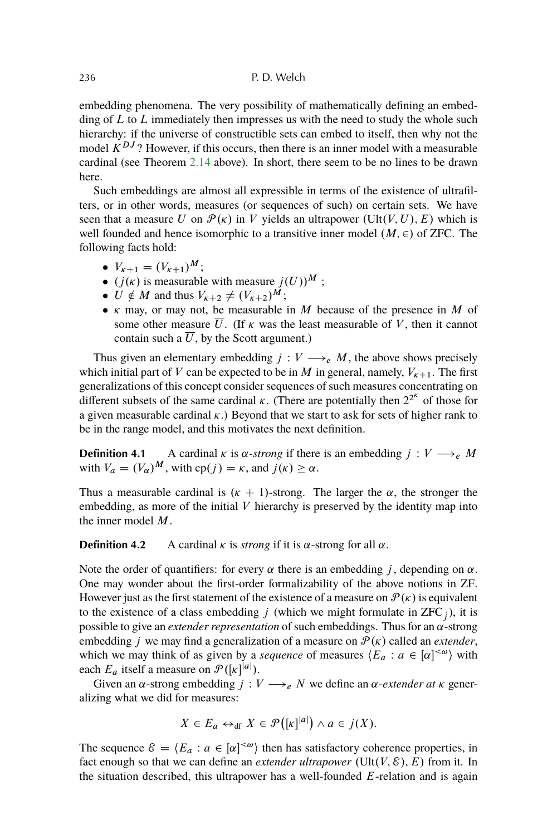embedding phenomena. The very possibility of mathematically defining an embedding of  $L$  to  $L$  immediately then impresses us with the need to study the whole such hierarchy: if the universe of constructible sets can embed to itself, then why not the model  $K^{DJ}$ ? However, if this occurs, then there is an inner model with a measurable cardinal (see Theorem  $2.14$  above). In short, there seem to be no lines to be drawn here.

Such embeddings are almost all expressible in terms of the existence of ultrafilters, or in other words, measures (or sequences of such) on certain sets. We have seen that a measure U on  $\mathcal{P}(\kappa)$  in V yields an ultrapower  $(Ult; U), E$  which is well founded and hence isomorphic to a transitive inner model  $(M, \in)$  of ZFC. The following facts hold:

- $V_{\kappa+1} = (V_{\kappa+1})^M$ ;
- $(j(\kappa))$  is measurable with measure  $j(U)$ <sup>M</sup> ;
- $U \notin M$  and thus  $V_{\kappa+2} \neq (V_{\kappa+2})^M$ ;
- $\bullet$   $\kappa$  may, or may not, be measurable in M because of the presence in M of some other measure U. (If  $\kappa$  was the least measurable of V, then it cannot contain such a  $\overline{U}$ , by the Scott argument.)

Thus given an elementary embedding  $j: V \longrightarrow_e M$ , the above shows precisely which initial part of V can be expected to be in M in general, namely,  $V_{\kappa+1}$ . The first generalizations of this concept consider sequences of such measures concentrating on different subsets of the same cardinal  $\kappa$ . (There are potentially then  $2^{2^{\kappa}}$  of those for a given measurable cardinal  $\kappa$ .) Beyond that we start to ask for sets of higher rank to be in the range model, and this motivates the next definition.

**Definition 4.1** A cardinal  $\kappa$  is  $\alpha$ -strong if there is an embedding  $j: V \rightarrow e^M$ with  $V_a = (V_\alpha)^M$ , with  $cp(j) = \kappa$ , and  $j(\kappa) \ge \alpha$ .

Thus a measurable cardinal is  $(\kappa + 1)$ -strong. The larger the  $\alpha$ , the stronger the embedding, as more of the initial  $V$  hierarchy is preserved by the identity map into the inner model  $M$ .

**Definition 4.2** A cardinal  $\kappa$  is *strong* if it is  $\alpha$ -strong for all  $\alpha$ .

Note the order of quantifiers: for every  $\alpha$  there is an embedding j, depending on  $\alpha$ . One may wonder about the first-order formalizability of the above notions in ZF. However just as the first statement of the existence of a measure on  $\mathcal{P}(\kappa)$  is equivalent to the existence of a class embedding  $j$  (which we might formulate in  $\text{ZFC}_j$ ), it is possible to give an *extender representation* of such embeddings. Thus for an  $\alpha$ -strong embedding *j* we may find a generalization of a measure on  $\mathcal{P}(\kappa)$  called an *extender*, which we may think of as given by a *sequence* of measures  $\langle E_a : a \in [\alpha]^{<\omega} \rangle$  with each  $E_a$  itself a measure on  $\mathcal{P}([k]^{[a]})$ .

Given an  $\alpha$ -strong embedding  $j: V \longrightarrow_e N$  we define an  $\alpha$ -extender at  $\kappa$  generalizing what we did for measures:

$$
X \in E_a \leftrightarrow_{\text{df}} X \in \mathcal{P}([k]^{|a|}) \land a \in j(X).
$$

The sequence  $\mathcal{E} = \langle E_a : a \in [\alpha]^{<\omega} \rangle$  then has satisfactory coherence properties, in fact enough so that we can define an *extender ultrapower* (Ult $(V, \mathcal{E})$ , E) from it. In the situation described, this ultrapower has a well-founded  $E$ -relation and is again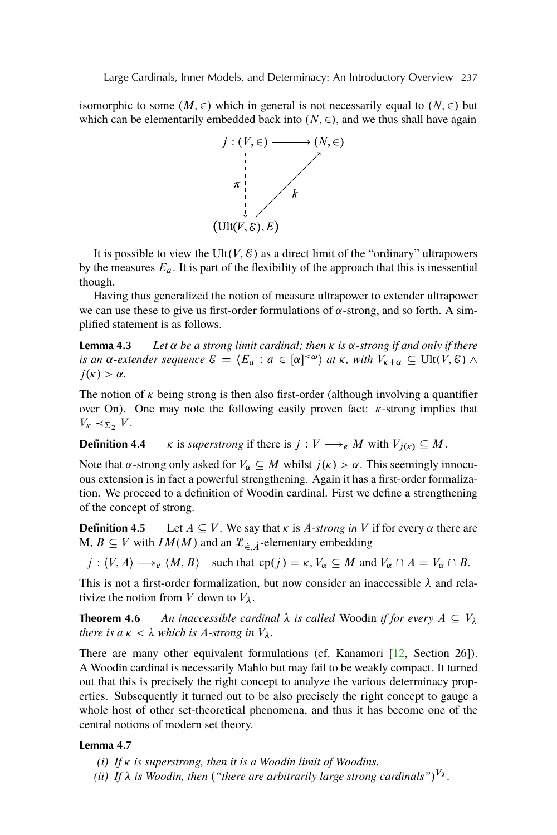<span id="page-24-0"></span>isomorphic to some  $(M, \in)$  which in general is not necessarily equal to  $(N, \in)$  but which can be elementarily embedded back into  $(N, \in)$ , and we thus shall have again



It is possible to view the Ult $(V, \mathcal{E})$  as a direct limit of the "ordinary" ultrapowers by the measures  $E_a$ . It is part of the flexibility of the approach that this is inessential though.

Having thus generalized the notion of measure ultrapower to extender ultrapower we can use these to give us first-order formulations of  $\alpha$ -strong, and so forth. A simplified statement is as follows.

**Lemma 4.3** *Let*  $\alpha$  *be a strong limit cardinal; then*  $\kappa$  *is*  $\alpha$ -*strong if and only if there is an*  $\alpha$ -extender sequence  $\mathcal{E} = \langle E_a : a \in [\alpha]^{<\omega} \rangle$  at  $\kappa$ , with  $V_{\kappa+\alpha} \subseteq \text{Ult}(V,\mathcal{E}) \wedge$  $j(\kappa) > \alpha$ .

The notion of  $\kappa$  being strong is then also first-order (although involving a quantifier over On). One may note the following easily proven fact:  $\kappa$ -strong implies that  $V_{\kappa} \prec_{\Sigma_2} V$ .

**Definition 4.4**  $\kappa$  is *superstrong* if there is  $j: V \longrightarrow_e M$  with  $V_{i(k)} \subseteq M$ .

Note that  $\alpha$ -strong only asked for  $V_{\alpha} \subseteq M$  whilst  $j(\kappa) > \alpha$ . This seemingly innocuous extension is in fact a powerful strengthening. Again it has a first-order formalization. We proceed to a definition of Woodin cardinal. First we define a strengthening of the concept of strong.

**Definition 4.5** Let  $A \subseteq V$ . We say that  $\kappa$  is A-strong in V if for every  $\alpha$  there are M,  $B \subseteq V$  with  $IM(M)$  and an  $\mathcal{L}_{\dot{\epsilon},\dot{A}}$ -elementary embedding

 $j : \langle V, A \rangle \longrightarrow_e \langle M, B \rangle$  such that  $cp(j) = \kappa, V_\alpha \subseteq M$  and  $V_\alpha \cap A = V_\alpha \cap B$ .

This is not a first-order formalization, but now consider an inaccessible  $\lambda$  and relativize the notion from V down to  $V_{\lambda}$ .

**Theorem 4.6** An inaccessible cardinal  $\lambda$  is called Woodin if for every  $A \subseteq V_{\lambda}$ *there is a*  $\kappa < \lambda$  *which is A-strong in*  $V_{\lambda}$ *.* 

There are many other equivalent formulations (cf. Kanamori [\[12,](#page-27-0) Section 26]). A Woodin cardinal is necessarily Mahlo but may fail to be weakly compact. It turned out that this is precisely the right concept to analyze the various determinacy properties. Subsequently it turned out to be also precisely the right concept to gauge a whole host of other set-theoretical phenomena, and thus it has become one of the central notions of modern set theory.

### **Lemma 4.7**

- *(i)* If  $\kappa$  is superstrong, then it is a Woodin limit of Woodins.
- *(ii)* If  $\lambda$  is Woodin, then ("there are arbitrarily large strong cardinals")<sup>V</sup> $\lambda$ .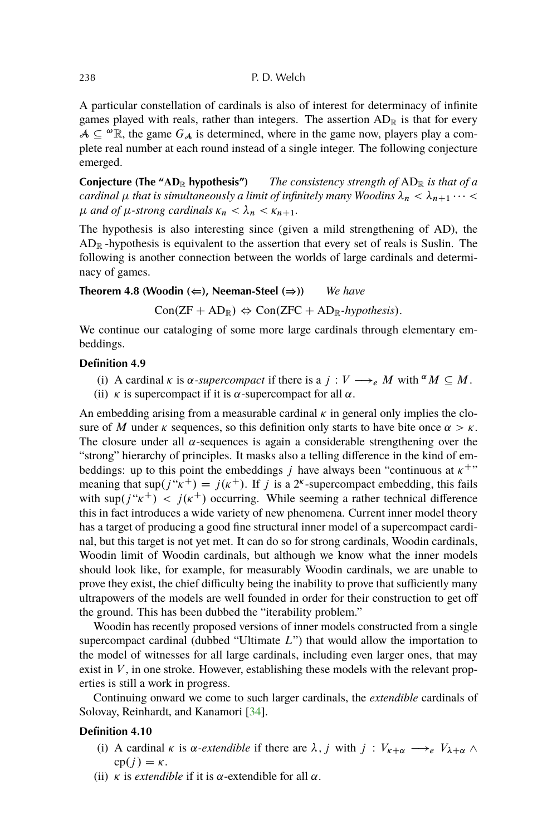A particular constellation of cardinals is also of interest for determinacy of infinite games played with reals, rather than integers. The assertion  $AD_R$  is that for every  $A \subseteq {}^{\omega} \mathbb{R}$ , the game  $G_A$  is determined, where in the game now, players play a complete real number at each round instead of a single integer. The following conjecture emerged.

**Conjecture (The "AD<sub>R</sub> hypothesis")** *The consistency strength of*  $AD_R$  *is that of a cardinal*  $\mu$  that is simultaneously a limit of infinitely many Woodins  $\lambda_n < \lambda_{n+1} \cdots$  $\mu$  *and of*  $\mu$ -strong cardinals  $\kappa_n < \lambda_n < \kappa_{n+1}$ .

The hypothesis is also interesting since (given a mild strengthening of AD), the  $AD_{\mathbb{R}}$  -hypothesis is equivalent to the assertion that every set of reals is Suslin. The following is another connection between the worlds of large cardinals and determinacy of games.

**Theorem 4.8 (Woodin (** $\Leftarrow$ **), Neeman-Steel (** $\Rightarrow$ **))** *We have* 

 $Con(ZF + AD_{\mathbb{R}}) \Leftrightarrow Con(ZFC + AD_{\mathbb{R}}-hypothesis).$ 

We continue our cataloging of some more large cardinals through elementary embeddings.

# **Definition 4.9**

- (i) A cardinal  $\kappa$  is  $\alpha$ -supercompact if there is a  $j: V \longrightarrow_e M$  with  $^{\alpha}M \subseteq M$ .
- (ii)  $\kappa$  is supercompact if it is  $\alpha$ -supercompact for all  $\alpha$ .

An embedding arising from a measurable cardinal  $\kappa$  in general only implies the closure of M under  $\kappa$  sequences, so this definition only starts to have bite once  $\alpha > \kappa$ . The closure under all  $\alpha$ -sequences is again a considerable strengthening over the "strong" hierarchy of principles. It masks also a telling difference in the kind of embeddings: up to this point the embeddings j have always been "continuous at  $\kappa^{+}$ " meaning that  $\sup(j''k^+) = j(k^+)$ . If j is a 2<sup>k</sup>-supercompact embedding, this fails with  $\sup(j``\kappa^+) < j(\kappa^+)$  occurring. While seeming a rather technical difference this in fact introduces a wide variety of new phenomena. Current inner model theory has a target of producing a good fine structural inner model of a supercompact cardinal, but this target is not yet met. It can do so for strong cardinals, Woodin cardinals, Woodin limit of Woodin cardinals, but although we know what the inner models should look like, for example, for measurably Woodin cardinals, we are unable to prove they exist, the chief difficulty being the inability to prove that sufficiently many ultrapowers of the models are well founded in order for their construction to get off the ground. This has been dubbed the "iterability problem."

Woodin has recently proposed versions of inner models constructed from a single supercompact cardinal (dubbed "Ultimate  $L$ ") that would allow the importation to the model of witnesses for all large cardinals, including even larger ones, that may exist in  $V$ , in one stroke. However, establishing these models with the relevant properties is still a work in progress.

Continuing onward we come to such larger cardinals, the *extendible* cardinals of Solovay, Reinhardt, and Kanamori [\[34\]](#page-28-0).

#### **Definition 4.10**

- (i) A cardinal  $\kappa$  is  $\alpha$ -extendible if there are  $\lambda$ , j with  $j: V_{\kappa+\alpha} \longrightarrow_e V_{\lambda+\alpha}$ .  $cp(j) = k$ .
- (ii)  $\kappa$  is *extendible* if it is  $\alpha$ -extendible for all  $\alpha$ .

<span id="page-25-0"></span>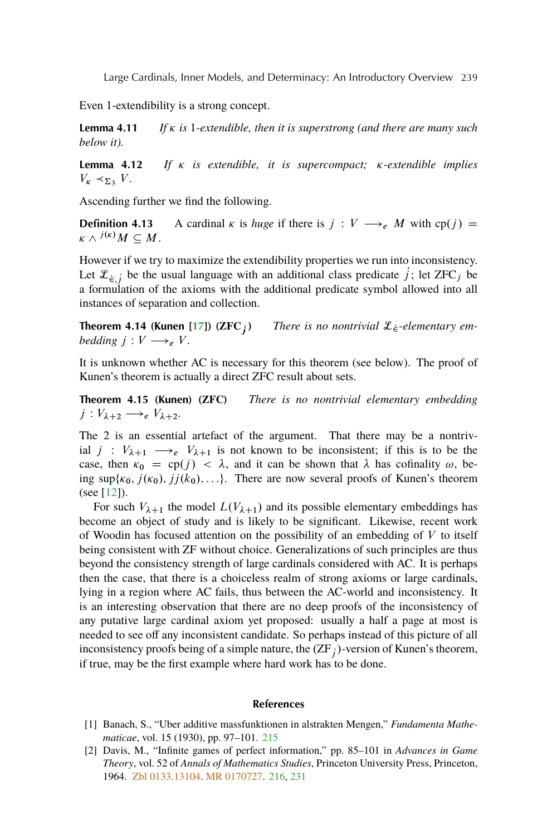<span id="page-26-0"></span>Even 1-extendibility is a strong concept.

**Lemma 4.11** *If is* 1*-extendible, then it is superstrong (and there are many such below it).*

**Lemma 4.12** *If K is extendible, it is supercompact; K*-extendible implies  $V_{\kappa} \prec_{\Sigma_3} V$ .

Ascending further we find the following.

**Definition 4.13** A cardinal  $\kappa$  is *huge* if there is  $j : V \rightarrow e^M$  with  $cp(j) =$  $\kappa \wedge^{j(\kappa)}M \subseteq M$ .

However if we try to maximize the extendibility properties we run into inconsistency. Let  $\mathcal{L}_{\dot{\epsilon},j}$  be the usual language with an additional class predicate j; let ZFC<sub>j</sub> be a formulation of the axioms with the additional predicate symbol allowed into all instances of separation and collection.

**Theorem 4.14 (Kunen [\[17\]](#page-27-0)) (ZFC<sub>j</sub>)** *f There is no nontrivial*  $\mathcal{L}_\in$ -elementary em*bedding*  $j: V \longrightarrow_e V$ *.* 

It is unknown whether AC is necessary for this theorem (see below). The proof of Kunen's theorem is actually a direct ZFC result about sets.

**Theorem 4.15 (Kunen) (ZFC)** *There is no nontrivial elementary embedding*  $j: V_{\lambda+2} \longrightarrow_e V_{\lambda+2}.$ 

The 2 is an essential artefact of the argument. That there may be a nontrivial  $j : V_{\lambda+1} \longrightarrow_e V_{\lambda+1}$  is not known to be inconsistent; if this is to be the case, then  $\kappa_0 = \text{cp}(j) < \lambda$ , and it can be shown that  $\lambda$  has cofinality  $\omega$ , being sup $\{\kappa_0, j(\kappa_0), jj(k_0), \ldots\}$ . There are now several proofs of Kunen's theorem (see [\[12\]](#page-27-0)).

For such  $V_{\lambda+1}$  the model  $L(V_{\lambda+1})$  and its possible elementary embeddings has become an object of study and is likely to be significant. Likewise, recent work of Woodin has focused attention on the possibility of an embedding of  $V$  to itself being consistent with ZF without choice. Generalizations of such principles are thus beyond the consistency strength of large cardinals considered with AC. It is perhaps then the case, that there is a choiceless realm of strong axioms or large cardinals, lying in a region where AC fails, thus between the AC-world and inconsistency. It is an interesting observation that there are no deep proofs of the inconsistency of any putative large cardinal axiom yet proposed: usually a half a page at most is needed to see off any inconsistent candidate. So perhaps instead of this picture of all inconsistency proofs being of a simple nature, the  $(ZF_j)$ -version of Kunen's theorem, if true, may be the first example where hard work has to be done.

#### **References**

- [1] Banach, S., "Uber additive massfunktionen in alstrakten Mengen," *Fundamenta Mathematicae*, vol. 15 (1930), pp. 97–101. [215](#page-2-0)
- [2] Davis, M., "Infinite games of perfect information," pp. 85–101 in *Advances in Game Theory*, vol. 52 of *Annals of Mathematics Studies*, Princeton University Press, Princeton, 1964. [Zbl 0133.13104.](http://www.emis.de/cgi-bin/MATH-item?0133.13104) [MR 0170727.](http://www.ams.org/mathscinet-getitem?mr=0170727) [216,](#page-3-0) [231](#page-18-0)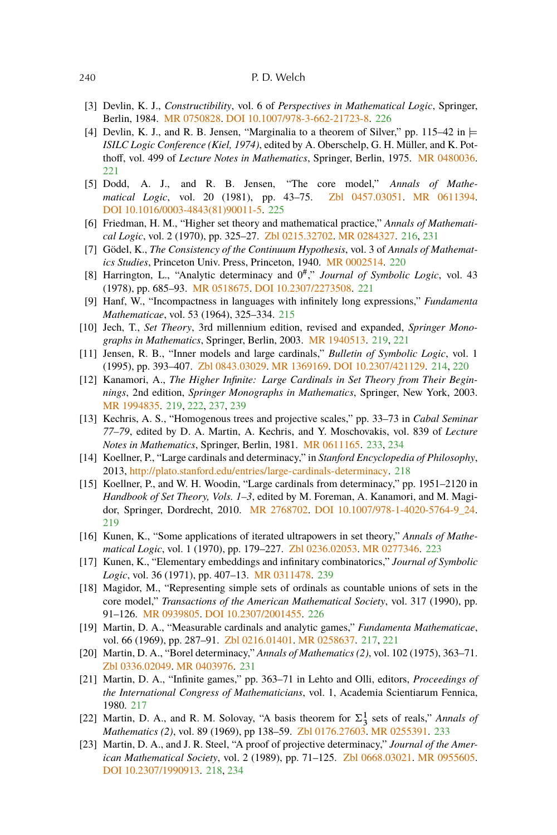#### <span id="page-27-0"></span>240 P. D. Welch

- [3] Devlin, K. J., *Constructibility*, vol. 6 of *Perspectives in Mathematical Logic*, Springer, Berlin, 1984. [MR 0750828.](http://www.ams.org/mathscinet-getitem?mr=0750828) [DOI 10.1007/978-3-662-21723-8.](http://dx.doi.org/10.1007/978-3-662-21723-8) [226](#page-13-0)
- [4] Devlin, K. J., and R. B. Jensen, "Marginalia to a theorem of Silver," pp. 115–42 in  $\models$ *ISILC Logic Conference (Kiel, 1974)*, edited by A. Oberschelp, G. H. Müller, and K. Potthoff, vol. 499 of *Lecture Notes in Mathematics*, Springer, Berlin, 1975. [MR 0480036.](http://www.ams.org/mathscinet-getitem?mr=0480036) [221](#page-8-0)
- [5] Dodd, A. J., and R. B. Jensen, "The core model," *Annals of Mathematical Logic*, vol. 20 (1981), pp. 43–75. [Zbl 0457.03051.](http://www.emis.de/cgi-bin/MATH-item?0457.03051) [MR 0611394.](http://www.ams.org/mathscinet-getitem?mr=0611394) [DOI 10.1016/0003-4843\(81\)90011-5.](http://dx.doi.org/10.1016/0003-4843(81)90011-5) [225](#page-12-0)
- [6] Friedman, H. M., "Higher set theory and mathematical practice," *Annals of Mathematical Logic*, vol. 2 (1970), pp. 325–27. [Zbl 0215.32702.](http://www.emis.de/cgi-bin/MATH-item?0215.32702) [MR 0284327.](http://www.ams.org/mathscinet-getitem?mr=0284327) [216,](#page-3-0) [231](#page-18-0)
- [7] Gödel, K., *The Consistency of the Continuum Hypothesis*, vol. 3 of *Annals of Mathematics Studies*, Princeton Univ. Press, Princeton, 1940. [MR 0002514.](http://www.ams.org/mathscinet-getitem?mr=0002514) [220](#page-7-0)
- [8] Harrington, L., "Analytic determinacy and 0 # ," *Journal of Symbolic Logic*, vol. 43 (1978), pp. 685–93. [MR 0518675.](http://www.ams.org/mathscinet-getitem?mr=0518675) [DOI 10.2307/2273508.](http://dx.doi.org/10.2307/2273508) [221](#page-8-0)
- [9] Hanf, W., "Incompactness in languages with infinitely long expressions," *Fundamenta Mathematicae*, vol. 53 (1964), 325–334. [215](#page-2-0)
- [10] Jech, T., *Set Theory*, 3rd millennium edition, revised and expanded, *Springer Monographs in Mathematics*, Springer, Berlin, 2003. [MR 1940513.](http://www.ams.org/mathscinet-getitem?mr=1940513) [219,](#page-6-0) [221](#page-8-0)
- [11] Jensen, R. B., "Inner models and large cardinals," *Bulletin of Symbolic Logic*, vol. 1 (1995), pp. 393–407. [Zbl 0843.03029.](http://www.emis.de/cgi-bin/MATH-item?0843.03029) [MR 1369169.](http://www.ams.org/mathscinet-getitem?mr=1369169) [DOI 10.2307/421129.](http://dx.doi.org/10.2307/421129) [214,](#page-1-0) [220](#page-7-0)
- [12] Kanamori, A., *The Higher Infinite: Large Cardinals in Set Theory from Their Beginnings*, 2nd edition, *Springer Monographs in Mathematics*, Springer, New York, 2003. [MR 1994835.](http://www.ams.org/mathscinet-getitem?mr=1994835) [219,](#page-6-0) [222,](#page-9-0) [237,](#page-24-0) [239](#page-26-0)
- [13] Kechris, A. S., "Homogenous trees and projective scales," pp. 33–73 in *Cabal Seminar 77–79*, edited by D. A. Martin, A. Kechris, and Y. Moschovakis, vol. 839 of *Lecture Notes in Mathematics*, Springer, Berlin, 1981. [MR 0611165.](http://www.ams.org/mathscinet-getitem?mr=0611165) [233,](#page-20-0) [234](#page-21-0)
- [14] Koellner, P., "Large cardinals and determinacy," in *Stanford Encyclopedia of Philosophy*, 2013, [http://plato.stanford.edu/entries/large-cardinals-determinacy.](http://plato.stanford.edu/entries/large-cardinals-determinacy) [218](#page-5-0)
- [15] Koellner, P., and W. H. Woodin, "Large cardinals from determinacy," pp. 1951–2120 in *Handbook of Set Theory, Vols. 1–3*, edited by M. Foreman, A. Kanamori, and M. Magidor, Springer, Dordrecht, 2010. [MR 2768702.](http://www.ams.org/mathscinet-getitem?mr=2768702) [DOI 10.1007/978-1-4020-5764-9\\_24.](http://dx.doi.org/10.1007/978-1-4020-5764-9_24) [219](#page-6-0)
- [16] Kunen, K., "Some applications of iterated ultrapowers in set theory," *Annals of Mathematical Logic*, vol. 1 (1970), pp. 179–227. [Zbl 0236.02053.](http://www.emis.de/cgi-bin/MATH-item?0236.02053) [MR 0277346.](http://www.ams.org/mathscinet-getitem?mr=0277346) [223](#page-10-0)
- [17] Kunen, K., "Elementary embeddings and infinitary combinatorics," *Journal of Symbolic Logic*, vol. 36 (1971), pp. 407–13. [MR 0311478.](http://www.ams.org/mathscinet-getitem?mr=0311478) [239](#page-26-0)
- [18] Magidor, M., "Representing simple sets of ordinals as countable unions of sets in the core model," *Transactions of the American Mathematical Society*, vol. 317 (1990), pp. 91–126. [MR 0939805.](http://www.ams.org/mathscinet-getitem?mr=0939805) [DOI 10.2307/2001455.](http://dx.doi.org/10.2307/2001455) [226](#page-13-0)
- [19] Martin, D. A., "Measurable cardinals and analytic games," *Fundamenta Mathematicae*, vol. 66 (1969), pp. 287–91. [Zbl 0216.01401.](http://www.emis.de/cgi-bin/MATH-item?0216.01401) [MR 0258637.](http://www.ams.org/mathscinet-getitem?mr=0258637) [217,](#page-4-0) [221](#page-8-0)
- [20] Martin, D. A., "Borel determinacy," *Annals of Mathematics (2)*, vol. 102 (1975), 363–71. [Zbl 0336.02049.](http://www.emis.de/cgi-bin/MATH-item?0336.02049) [MR 0403976.](http://www.ams.org/mathscinet-getitem?mr=0403976) [231](#page-18-0)
- [21] Martin, D. A., "Infinite games," pp. 363–71 in Lehto and Olli, editors, *Proceedings of the International Congress of Mathematicians*, vol. 1, Academia Scientiarum Fennica, 1980. [217](#page-4-0)
- [22] Martin, D. A., and R. M. Solovay, "A basis theorem for  $\Sigma_3^1$  sets of reals," *Annals of Mathematics (2)*, vol. 89 (1969), pp 138–59. [Zbl 0176.27603.](http://www.emis.de/cgi-bin/MATH-item?0176.27603) [MR 0255391.](http://www.ams.org/mathscinet-getitem?mr=0255391) [233](#page-20-0)
- [23] Martin, D. A., and J. R. Steel, "A proof of projective determinacy," *Journal of the American Mathematical Society*, vol. 2 (1989), pp. 71–125. [Zbl 0668.03021.](http://www.emis.de/cgi-bin/MATH-item?0668.03021) [MR 0955605.](http://www.ams.org/mathscinet-getitem?mr=0955605) [DOI 10.2307/1990913.](http://dx.doi.org/10.2307/1990913) [218,](#page-5-0) [234](#page-21-0)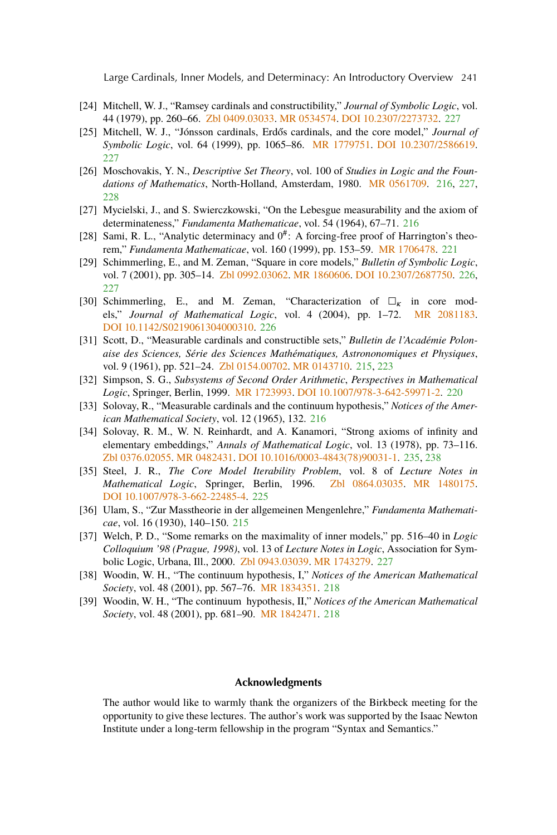- <span id="page-28-0"></span>[24] Mitchell, W. J., "Ramsey cardinals and constructibility," *Journal of Symbolic Logic*, vol. 44 (1979), pp. 260–66. [Zbl 0409.03033.](http://www.emis.de/cgi-bin/MATH-item?0409.03033) [MR 0534574.](http://www.ams.org/mathscinet-getitem?mr=0534574) [DOI 10.2307/2273732.](http://dx.doi.org/10.2307/2273732) [227](#page-14-0)
- [25] Mitchell, W. J., "Jónsson cardinals, Erdős cardinals, and the core model," *Journal of Symbolic Logic*, vol. 64 (1999), pp. 1065–86. [MR 1779751.](http://www.ams.org/mathscinet-getitem?mr=1779751) [DOI 10.2307/2586619.](http://dx.doi.org/10.2307/2586619) [227](#page-14-0)
- [26] Moschovakis, Y. N., *Descriptive Set Theory*, vol. 100 of *Studies in Logic and the Foundations of Mathematics*, North-Holland, Amsterdam, 1980. [MR 0561709.](http://www.ams.org/mathscinet-getitem?mr=0561709) [216,](#page-3-0) [227,](#page-14-0) [228](#page-15-0)
- [27] Mycielski, J., and S. Swierczkowski, "On the Lebesgue measurability and the axiom of determinateness," *Fundamenta Mathematicae*, vol. 54 (1964), 67–71. [216](#page-3-0)
- [28] Sami, R. L., "Analytic determinacy and  $0^{\#}$ : A forcing-free proof of Harrington's theorem," *Fundamenta Mathematicae*, vol. 160 (1999), pp. 153–59. [MR 1706478.](http://www.ams.org/mathscinet-getitem?mr=1706478) [221](#page-8-0)
- [29] Schimmerling, E., and M. Zeman, "Square in core models," *Bulletin of Symbolic Logic*, vol. 7 (2001), pp. 305–14. [Zbl 0992.03062.](http://www.emis.de/cgi-bin/MATH-item?0992.03062) [MR 1860606.](http://www.ams.org/mathscinet-getitem?mr=1860606) [DOI 10.2307/2687750.](http://dx.doi.org/10.2307/2687750) [226,](#page-13-0) [227](#page-14-0)
- [30] Schimmerling, E., and M. Zeman, "Characterization of  $\Box_K$  in core models," *Journal of Mathematical Logic*, vol. 4 (2004), pp. 1–72. [MR 2081183.](http://www.ams.org/mathscinet-getitem?mr=2081183) [DOI 10.1142/S0219061304000310.](http://dx.doi.org/10.1142/S0219061304000310) [226](#page-13-0)
- [31] Scott, D., "Measurable cardinals and constructible sets," *Bulletin de l'Académie Polonaise des Sciences, Série des Sciences Mathématiques, Astrononomiques et Physiques*, vol. 9 (1961), pp. 521–24. [Zbl 0154.00702.](http://www.emis.de/cgi-bin/MATH-item?0154.00702) [MR 0143710.](http://www.ams.org/mathscinet-getitem?mr=0143710) [215,](#page-2-0) [223](#page-10-0)
- [32] Simpson, S. G., *Subsystems of Second Order Arithmetic*, *Perspectives in Mathematical Logic*, Springer, Berlin, 1999. [MR 1723993.](http://www.ams.org/mathscinet-getitem?mr=1723993) [DOI 10.1007/978-3-642-59971-2.](http://dx.doi.org/10.1007/978-3-642-59971-2) [220](#page-7-0)
- [33] Solovay, R., "Measurable cardinals and the continuum hypothesis," *Notices of the American Mathematical Society*, vol. 12 (1965), 132. [216](#page-3-0)
- [34] Solovay, R. M., W. N. Reinhardt, and A. Kanamori, "Strong axioms of infinity and elementary embeddings," *Annals of Mathematical Logic*, vol. 13 (1978), pp. 73–116. [Zbl 0376.02055.](http://www.emis.de/cgi-bin/MATH-item?0376.02055) [MR 0482431.](http://www.ams.org/mathscinet-getitem?mr=0482431) [DOI 10.1016/0003-4843\(78\)90031-1.](http://dx.doi.org/10.1016/0003-4843(78)90031-1) [235,](#page-22-0) [238](#page-25-0)
- [35] Steel, J. R., *The Core Model Iterability Problem*, vol. 8 of *Lecture Notes in Mathematical Logic*, Springer, Berlin, 1996. [Zbl 0864.03035.](http://www.emis.de/cgi-bin/MATH-item?0864.03035) [MR 1480175.](http://www.ams.org/mathscinet-getitem?mr=1480175) [DOI 10.1007/978-3-662-22485-4.](http://dx.doi.org/10.1007/978-3-662-22485-4) [225](#page-12-0)
- [36] Ulam, S., "Zur Masstheorie in der allgemeinen Mengenlehre," *Fundamenta Mathematicae*, vol. 16 (1930), 140–150. [215](#page-2-0)
- [37] Welch, P. D., "Some remarks on the maximality of inner models," pp. 516–40 in *Logic Colloquium '98 (Prague, 1998)*, vol. 13 of *Lecture Notes in Logic*, Association for Symbolic Logic, Urbana, Ill., 2000. [Zbl 0943.03039.](http://www.emis.de/cgi-bin/MATH-item?0943.03039) [MR 1743279.](http://www.ams.org/mathscinet-getitem?mr=1743279) [227](#page-14-0)
- [38] Woodin, W. H., "The continuum hypothesis, I," *Notices of the American Mathematical Society*, vol. 48 (2001), pp. 567–76. [MR 1834351.](http://www.ams.org/mathscinet-getitem?mr=1834351) [218](#page-5-0)
- [39] Woodin, W. H., "The continuum hypothesis, II," *Notices of the American Mathematical Society*, vol. 48 (2001), pp. 681–90. [MR 1842471.](http://www.ams.org/mathscinet-getitem?mr=1842471) [218](#page-5-0)

## **Acknowledgments**

The author would like to warmly thank the organizers of the Birkbeck meeting for the opportunity to give these lectures. The author's work was supported by the Isaac Newton Institute under a long-term fellowship in the program "Syntax and Semantics."